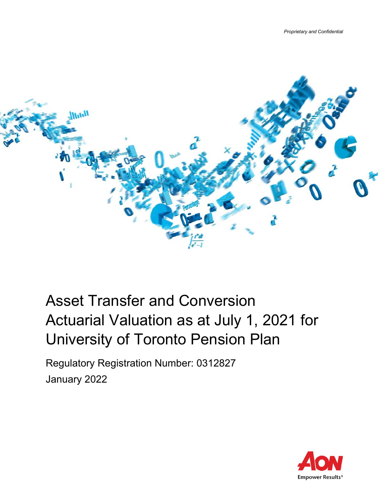

# Asset Transfer and Conversion Actuarial Valuation as at July 1, 2021 for University of Toronto Pension Plan

Regulatory Registration Number: 0312827 January 2022

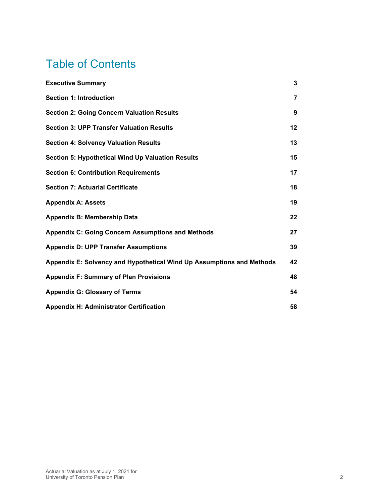# Table of Contents

| <b>Executive Summary</b>                                              | 3              |
|-----------------------------------------------------------------------|----------------|
| <b>Section 1: Introduction</b>                                        | $\overline{7}$ |
| <b>Section 2: Going Concern Valuation Results</b>                     | 9              |
| <b>Section 3: UPP Transfer Valuation Results</b>                      | 12             |
| <b>Section 4: Solvency Valuation Results</b>                          | 13             |
| <b>Section 5: Hypothetical Wind Up Valuation Results</b>              | 15             |
| <b>Section 6: Contribution Requirements</b>                           | 17             |
| <b>Section 7: Actuarial Certificate</b>                               | 18             |
| <b>Appendix A: Assets</b>                                             | 19             |
| <b>Appendix B: Membership Data</b>                                    | 22             |
| <b>Appendix C: Going Concern Assumptions and Methods</b>              | 27             |
| <b>Appendix D: UPP Transfer Assumptions</b>                           | 39             |
| Appendix E: Solvency and Hypothetical Wind Up Assumptions and Methods | 42             |
| <b>Appendix F: Summary of Plan Provisions</b>                         | 48             |
| <b>Appendix G: Glossary of Terms</b>                                  | 54             |
| <b>Appendix H: Administrator Certification</b>                        | 58             |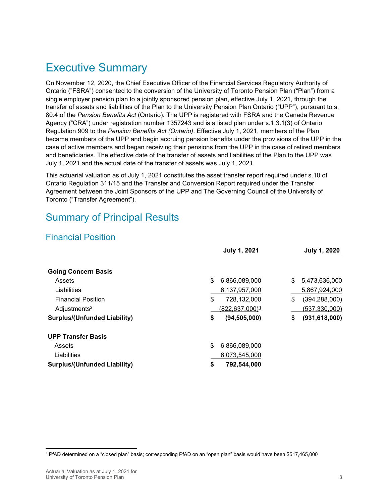## <span id="page-2-0"></span>Executive Summary

On November 12, 2020, the Chief Executive Officer of the Financial Services Regulatory Authority of Ontario ("FSRA") consented to the conversion of the University of Toronto Pension Plan ("Plan") from a single employer pension plan to a jointly sponsored pension plan, effective July 1, 2021, through the transfer of assets and liabilities of the Plan to the University Pension Plan Ontario ("UPP"), pursuant to s. 80.4 of the *Pension Benefits Act* (Ontario). The UPP is registered with FSRA and the Canada Revenue Agency ("CRA") under registration number 1357243 and is a listed plan under s.1.3.1(3) of Ontario Regulation 909 to the *Pension Benefits Act (Ontario)*. Effective July 1, 2021, members of the Plan became members of the UPP and begin accruing pension benefits under the provisions of the UPP in the case of active members and began receiving their pensions from the UPP in the case of retired members and beneficiaries. The effective date of the transfer of assets and liabilities of the Plan to the UPP was July 1, 2021 and the actual date of the transfer of assets was July 1, 2021.

This actuarial valuation as of July 1, 2021 constitutes the asset transfer report required under s.10 of Ontario Regulation 311/15 and the Transfer and Conversion Report required under the Transfer Agreement between the Joint Sponsors of the UPP and The Governing Council of the University of Toronto ("Transfer Agreement").

### Summary of Principal Results

### Financial Position

|                                     | <b>July 1, 2021</b>        | <b>July 1, 2020</b>   |
|-------------------------------------|----------------------------|-----------------------|
| <b>Going Concern Basis</b>          |                            |                       |
| Assets                              | \$<br>6,866,089,000        | \$<br>5,473,636,000   |
| Liabilities                         | 6,137,957,000              | 5,867,924,000         |
| <b>Financial Position</b>           | \$<br>728,132,000          | \$<br>(394, 288, 000) |
| Adjustments <sup>2</sup>            | (822,637,000) <sup>1</sup> | (537, 330, 000)       |
| <b>Surplus/(Unfunded Liability)</b> | \$<br>(94, 505, 000)       | \$<br>(931, 618, 000) |
| <b>UPP Transfer Basis</b>           |                            |                       |
| Assets                              | \$<br>6,866,089,000        |                       |
| Liabilities                         | 6,073,545,000              |                       |
| <b>Surplus/(Unfunded Liability)</b> | \$<br>792,544,000          |                       |

<span id="page-2-1"></span><sup>1</sup> PfAD determined on a "closed plan" basis; corresponding PfAD on an "open plan" basis would have been \$517,465,000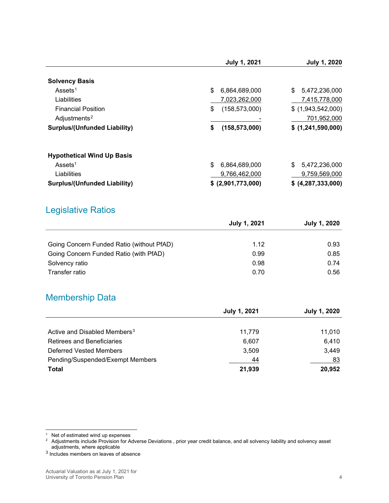|                                     | <b>July 1, 2021</b>   | <b>July 1, 2020</b> |
|-------------------------------------|-----------------------|---------------------|
| <b>Solvency Basis</b>               |                       |                     |
| Assets <sup>1</sup>                 | \$<br>6,864,689,000   | \$<br>5,472,236,000 |
| Liabilities                         | 7,023,262,000         | 7,415,778,000       |
| <b>Financial Position</b>           | (158, 573, 000)<br>\$ | $$$ (1,943,542,000) |
| Adjustments <sup>2</sup>            |                       | 701,952,000         |
| <b>Surplus/(Unfunded Liability)</b> | \$<br>(158, 573, 000) | \$ (1,241,590,000)  |
| <b>Hypothetical Wind Up Basis</b>   |                       |                     |
| Assets <sup>1</sup>                 | \$<br>6,864,689,000   | \$<br>5,472,236,000 |
| Liabilities                         | 9,766,462,000         | 9,759,569,000       |
| <b>Surplus/(Unfunded Liability)</b> | \$ (2,901,773,000)    | \$ (4,287,333,000)  |

### Legislative Ratios

|                                           | July 1, 2021 | <b>July 1, 2020</b> |
|-------------------------------------------|--------------|---------------------|
|                                           |              |                     |
| Going Concern Funded Ratio (without PfAD) | 1.12         | 0.93                |
| Going Concern Funded Ratio (with PfAD)    | 0.99         | 0.85                |
| Solvency ratio                            | 0.98         | 0.74                |
| Transfer ratio                            | 0.70         | 0.56                |

### Membership Data

|                                          | <b>July 1, 2021</b> | <b>July 1, 2020</b> |
|------------------------------------------|---------------------|---------------------|
|                                          |                     |                     |
| Active and Disabled Members <sup>3</sup> | 11.779              | 11.010              |
| <b>Retirees and Beneficiaries</b>        | 6.607               | 6,410               |
| Deferred Vested Members                  | 3,509               | 3,449               |
| Pending/Suspended/Exempt Members         | 44                  | 83                  |
| <b>Total</b>                             | 21,939              | 20,952              |

<span id="page-3-0"></span> $1$  Net of estimated wind up expenses

<span id="page-3-1"></span> $^{\rm 2} \,$  Adjustments include Provision for Adverse Deviations , prior year credit balance, and all solvency liability and solvency asset adjustments, where applicable

<span id="page-3-2"></span><sup>3</sup> Includes members on leaves of absence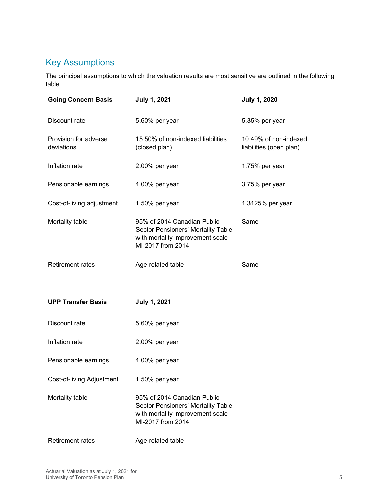### Key Assumptions

The principal assumptions to which the valuation results are most sensitive are outlined in the following table.

| <b>Going Concern Basis</b>          | <b>July 1, 2021</b>                                                                                                        | <b>July 1, 2020</b>                              |
|-------------------------------------|----------------------------------------------------------------------------------------------------------------------------|--------------------------------------------------|
| Discount rate                       | 5.60% per year                                                                                                             | 5.35% per year                                   |
| Provision for adverse<br>deviations | 15.50% of non-indexed liabilities<br>(closed plan)                                                                         | 10.49% of non-indexed<br>liabilities (open plan) |
| Inflation rate                      | 2.00% per year                                                                                                             | 1.75% per year                                   |
| Pensionable earnings                | 4.00% per year                                                                                                             | 3.75% per year                                   |
| Cost-of-living adjustment           | 1.50% per year                                                                                                             | 1.3125% per year                                 |
| Mortality table                     | 95% of 2014 Canadian Public<br>Sector Pensioners' Mortality Table<br>with mortality improvement scale<br>MI-2017 from 2014 | Same                                             |
| <b>Retirement rates</b>             | Age-related table                                                                                                          | Same                                             |

| <b>UPP Transfer Basis</b> | <b>July 1, 2021</b>                                                                                                        |
|---------------------------|----------------------------------------------------------------------------------------------------------------------------|
| Discount rate             | 5.60% per year                                                                                                             |
| Inflation rate            | 2.00% per year                                                                                                             |
| Pensionable earnings      | 4.00% per year                                                                                                             |
| Cost-of-living Adjustment | 1.50% per year                                                                                                             |
| Mortality table           | 95% of 2014 Canadian Public<br>Sector Pensioners' Mortality Table<br>with mortality improvement scale<br>MI-2017 from 2014 |
| <b>Retirement rates</b>   | Age-related table                                                                                                          |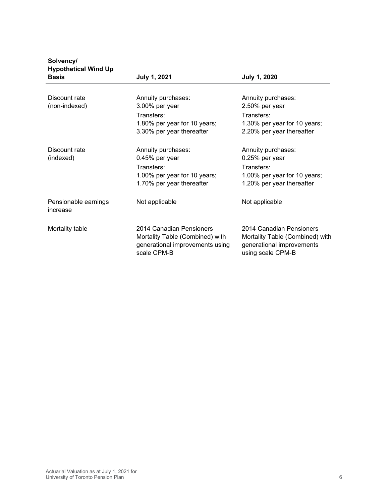| .<br><b>Hypothetical Wind Up</b><br><b>Basis</b> | <b>July 1, 2021</b>                                                                                             | <b>July 1, 2020</b>                                                                                             |
|--------------------------------------------------|-----------------------------------------------------------------------------------------------------------------|-----------------------------------------------------------------------------------------------------------------|
|                                                  |                                                                                                                 |                                                                                                                 |
| Discount rate<br>(non-indexed)                   | Annuity purchases:<br>3.00% per year<br>Transfers:                                                              | Annuity purchases:<br>2.50% per year<br>Transfers:                                                              |
|                                                  | 1.80% per year for 10 years;<br>3.30% per year thereafter                                                       | 1.30% per year for 10 years;<br>2.20% per year thereafter                                                       |
| Discount rate<br>(indexed)                       | Annuity purchases:<br>0.45% per year<br>Transfers:<br>1.00% per year for 10 years;<br>1.70% per year thereafter | Annuity purchases:<br>0.25% per year<br>Transfers:<br>1.00% per year for 10 years;<br>1.20% per year thereafter |
| Pensionable earnings<br>increase                 | Not applicable                                                                                                  | Not applicable                                                                                                  |
| Mortality table                                  | 2014 Canadian Pensioners<br>Mortality Table (Combined) with<br>generational improvements using<br>scale CPM-B   | 2014 Canadian Pensioners<br>Mortality Table (Combined) with<br>generational improvements<br>using scale CPM-B   |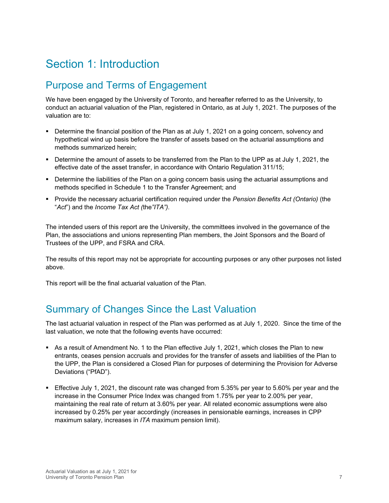# <span id="page-6-0"></span>Section 1: Introduction

### Purpose and Terms of Engagement

We have been engaged by the University of Toronto, and hereafter referred to as the University, to conduct an actuarial valuation of the Plan, registered in Ontario, as at July 1, 2021. The purposes of the valuation are to:

- **Determine the financial position of the Plan as at July 1, 2021 on a going concern, solvency and** hypothetical wind up basis before the transfer of assets based on the actuarial assumptions and methods summarized herein;
- Determine the amount of assets to be transferred from the Plan to the UPP as at July 1, 2021, the effective date of the asset transfer, in accordance with Ontario Regulation 311/15;
- **•** Determine the liabilities of the Plan on a going concern basis using the actuarial assumptions and methods specified in Schedule 1 to the Transfer Agreement; and
- **Provide the necessary actuarial certification required under the Pension Benefits Act (Ontario) (the** "*Act*") and the *Income Tax Act (*the*"ITA").*

The intended users of this report are the University, the committees involved in the governance of the Plan, the associations and unions representing Plan members, the Joint Sponsors and the Board of Trustees of the UPP, and FSRA and CRA.

The results of this report may not be appropriate for accounting purposes or any other purposes not listed above.

This report will be the final actuarial valuation of the Plan.

### Summary of Changes Since the Last Valuation

The last actuarial valuation in respect of the Plan was performed as at July 1, 2020. Since the time of the last valuation, we note that the following events have occurred:

- As a result of Amendment No. 1 to the Plan effective July 1, 2021, which closes the Plan to new entrants, ceases pension accruals and provides for the transfer of assets and liabilities of the Plan to the UPP, the Plan is considered a Closed Plan for purposes of determining the Provision for Adverse Deviations ("PfAD").
- Effective July 1, 2021, the discount rate was changed from 5.35% per year to 5.60% per year and the increase in the Consumer Price Index was changed from 1.75% per year to 2.00% per year, maintaining the real rate of return at 3.60% per year. All related economic assumptions were also increased by 0.25% per year accordingly (increases in pensionable earnings, increases in CPP maximum salary, increases in *ITA* maximum pension limit).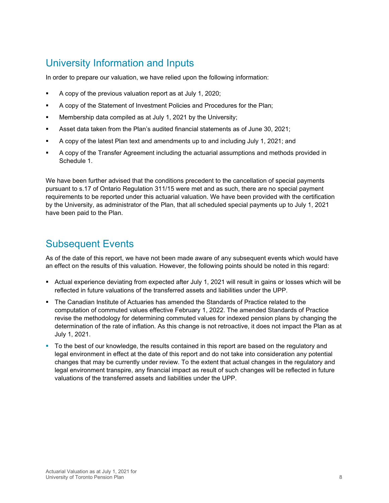## University Information and Inputs

In order to prepare our valuation, we have relied upon the following information:

- A copy of the previous valuation report as at July 1, 2020;
- A copy of the Statement of Investment Policies and Procedures for the Plan;
- Membership data compiled as at July 1, 2021 by the University;
- Asset data taken from the Plan's audited financial statements as of June 30, 2021;
- A copy of the latest Plan text and amendments up to and including July 1, 2021; and
- A copy of the Transfer Agreement including the actuarial assumptions and methods provided in Schedule 1.

We have been further advised that the conditions precedent to the cancellation of special payments pursuant to s.17 of Ontario Regulation 311/15 were met and as such, there are no special payment requirements to be reported under this actuarial valuation. We have been provided with the certification by the University, as administrator of the Plan, that all scheduled special payments up to July 1, 2021 have been paid to the Plan.

## Subsequent Events

As of the date of this report, we have not been made aware of any subsequent events which would have an effect on the results of this valuation. However, the following points should be noted in this regard:

- Actual experience deviating from expected after July 1, 2021 will result in gains or losses which will be reflected in future valuations of the transferred assets and liabilities under the UPP.
- The Canadian Institute of Actuaries has amended the Standards of Practice related to the computation of commuted values effective February 1, 2022. The amended Standards of Practice revise the methodology for determining commuted values for indexed pension plans by changing the determination of the rate of inflation. As this change is not retroactive, it does not impact the Plan as at July 1, 2021.
- To the best of our knowledge, the results contained in this report are based on the regulatory and legal environment in effect at the date of this report and do not take into consideration any potential changes that may be currently under review. To the extent that actual changes in the regulatory and legal environment transpire, any financial impact as result of such changes will be reflected in future valuations of the transferred assets and liabilities under the UPP.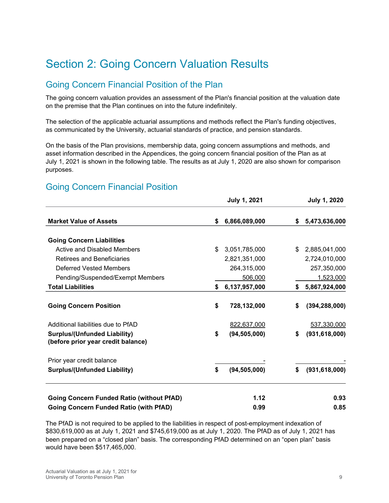# <span id="page-8-0"></span>Section 2: Going Concern Valuation Results

### Going Concern Financial Position of the Plan

The going concern valuation provides an assessment of the Plan's financial position at the valuation date on the premise that the Plan continues on into the future indefinitely.

The selection of the applicable actuarial assumptions and methods reflect the Plan's funding objectives, as communicated by the University, actuarial standards of practice, and pension standards.

On the basis of the Plan provisions, membership data, going concern assumptions and methods, and asset information described in the Appendices, the going concern financial position of the Plan as at July 1, 2021 is shown in the following table. The results as at July 1, 2020 are also shown for comparison purposes.

### Going Concern Financial Position

|                                                                           | <b>July 1, 2021</b>  |    | <b>July 1, 2020</b> |
|---------------------------------------------------------------------------|----------------------|----|---------------------|
| <b>Market Value of Assets</b>                                             | \$<br>6,866,089,000  | \$ | 5,473,636,000       |
| <b>Going Concern Liabilities</b>                                          |                      |    |                     |
| Active and Disabled Members                                               | \$<br>3,051,785,000  | \$ | 2,885,041,000       |
| <b>Retirees and Beneficiaries</b>                                         | 2,821,351,000        |    | 2,724,010,000       |
| Deferred Vested Members                                                   | 264,315,000          |    | 257,350,000         |
| Pending/Suspended/Exempt Members                                          | 506,000              |    | 1,523,000           |
| <b>Total Liabilities</b>                                                  | \$<br>6,137,957,000  | S  | 5,867,924,000       |
| <b>Going Concern Position</b>                                             | \$<br>728,132,000    | \$ | (394, 288, 000)     |
| Additional liabilities due to PfAD                                        | 822,637,000          |    | 537,330,000         |
| <b>Surplus/(Unfunded Liability)</b><br>(before prior year credit balance) | \$<br>(94, 505, 000) | \$ | (931, 618, 000)     |
| Prior year credit balance                                                 |                      |    |                     |
| <b>Surplus/(Unfunded Liability)</b>                                       | \$<br>(94, 505, 000) | \$ | (931, 618, 000)     |
| <b>Going Concern Funded Ratio (without PfAD)</b>                          | 1.12                 |    | 0.93                |
| <b>Going Concern Funded Ratio (with PfAD)</b>                             | 0.99                 |    | 0.85                |

The PfAD is not required to be applied to the liabilities in respect of post-employment indexation of \$830,619,000 as at July 1, 2021 and \$745,619,000 as at July 1, 2020. The PfAD as of July 1, 2021 has been prepared on a "closed plan" basis. The corresponding PfAD determined on an "open plan" basis would have been \$517,465,000.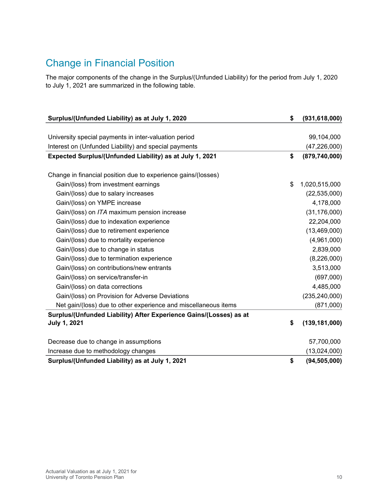## Change in Financial Position

The major components of the change in the Surplus/(Unfunded Liability) for the period from July 1, 2020 to July 1, 2021 are summarized in the following table.

| Surplus/(Unfunded Liability) as at July 1, 2020                    | \$<br>(931, 618, 000) |
|--------------------------------------------------------------------|-----------------------|
|                                                                    |                       |
| University special payments in inter-valuation period              | 99,104,000            |
| Interest on (Unfunded Liability) and special payments              | (47, 226, 000)        |
| Expected Surplus/(Unfunded Liability) as at July 1, 2021           | \$<br>(879, 740, 000) |
|                                                                    |                       |
| Change in financial position due to experience gains/(losses)      |                       |
| Gain/(loss) from investment earnings                               | \$<br>1,020,515,000   |
| Gain/(loss) due to salary increases                                | (22, 535, 000)        |
| Gain/(loss) on YMPE increase                                       | 4,178,000             |
| Gain/(loss) on ITA maximum pension increase                        | (31, 176, 000)        |
| Gain/(loss) due to indexation experience                           | 22,204,000            |
| Gain/(loss) due to retirement experience                           | (13, 469, 000)        |
| Gain/(loss) due to mortality experience                            | (4,961,000)           |
| Gain/(loss) due to change in status                                | 2,839,000             |
| Gain/(loss) due to termination experience                          | (8,226,000)           |
| Gain/(loss) on contributions/new entrants                          | 3,513,000             |
| Gain/(loss) on service/transfer-in                                 | (697,000)             |
| Gain/(loss) on data corrections                                    | 4,485,000             |
| Gain/(loss) on Provision for Adverse Deviations                    | (235, 240, 000)       |
| Net gain/(loss) due to other experience and miscellaneous items    | (871,000)             |
| Surplus/(Unfunded Liability) After Experience Gains/(Losses) as at |                       |
| <b>July 1, 2021</b>                                                | \$<br>(139, 181, 000) |
|                                                                    |                       |
| Decrease due to change in assumptions                              | 57,700,000            |
| Increase due to methodology changes                                | (13,024,000)          |
| Surplus/(Unfunded Liability) as at July 1, 2021                    | \$<br>(94, 505, 000)  |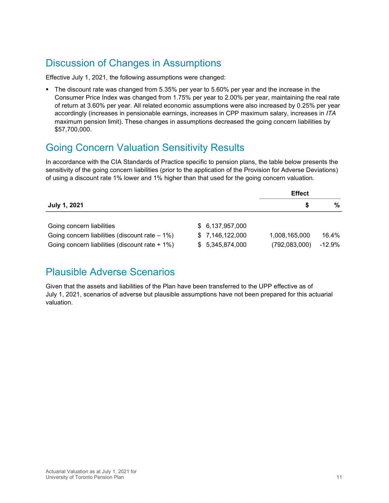## Discussion of Changes in Assumptions

Effective July 1, 2021, the following assumptions were changed:

The discount rate was changed from 5.35% per year to 5.60% per year and the increase in the Consumer Price Index was changed from 1.75% per year to 2.00% per year, maintaining the real rate of return at 3.60% per year. All related economic assumptions were also increased by 0.25% per year accordingly (increases in pensionable earnings, increases in CPP maximum salary, increases in *ITA* maximum pension limit). These changes in assumptions decreased the going concern liabilities by \$57,700,000.

### Going Concern Valuation Sensitivity Results

In accordance with the CIA Standards of Practice specific to pension plans, the table below presents the sensitivity of the going concern liabilities (prior to the application of the Provision for Adverse Deviations) of using a discount rate 1% lower and 1% higher than that used for the going concern valuation.

|                                                   |                 | <b>Effect</b> |          |
|---------------------------------------------------|-----------------|---------------|----------|
| July 1, 2021                                      |                 | S             | %        |
|                                                   |                 |               |          |
| Going concern liabilities                         | \$6,137,957,000 |               |          |
| Going concern liabilities (discount rate $-1\%$ ) | \$7,146,122,000 | 1,008,165,000 | 16.4%    |
| Going concern liabilities (discount rate $+1\%$ ) | \$5,345,874,000 | (792,083,000) | $-12.9%$ |

### Plausible Adverse Scenarios

Given that the assets and liabilities of the Plan have been transferred to the UPP effective as of July 1, 2021, scenarios of adverse but plausible assumptions have not been prepared for this actuarial valuation.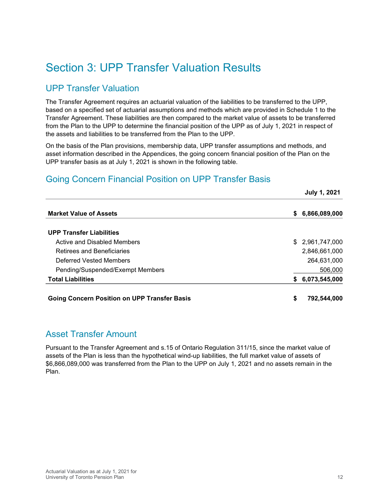# <span id="page-11-0"></span>Section 3: UPP Transfer Valuation Results

### UPP Transfer Valuation

The Transfer Agreement requires an actuarial valuation of the liabilities to be transferred to the UPP, based on a specified set of actuarial assumptions and methods which are provided in Schedule 1 to the Transfer Agreement. These liabilities are then compared to the market value of assets to be transferred from the Plan to the UPP to determine the financial position of the UPP as of July 1, 2021 in respect of the assets and liabilities to be transferred from the Plan to the UPP.

On the basis of the Plan provisions, membership data, UPP transfer assumptions and methods, and asset information described in the Appendices, the going concern financial position of the Plan on the UPP transfer basis as at July 1, 2021 is shown in the following table.

### Going Concern Financial Position on UPP Transfer Basis

|                                                     | <b>July 1, 2021</b> |  |
|-----------------------------------------------------|---------------------|--|
| <b>Market Value of Assets</b>                       | 6,866,089,000<br>S. |  |
| <b>UPP Transfer Liabilities</b>                     |                     |  |
| Active and Disabled Members                         | \$2,961,747,000     |  |
| Retirees and Beneficiaries                          | 2,846,661,000       |  |
| Deferred Vested Members                             | 264,631,000         |  |
| Pending/Suspended/Exempt Members                    | 506,000             |  |
| <b>Total Liabilities</b>                            | 6,073,545,000<br>S. |  |
| <b>Going Concern Position on UPP Transfer Basis</b> | \$<br>792,544,000   |  |

### Asset Transfer Amount

Pursuant to the Transfer Agreement and s.15 of Ontario Regulation 311/15, since the market value of assets of the Plan is less than the hypothetical wind-up liabilities, the full market value of assets of \$6,866,089,000 was transferred from the Plan to the UPP on July 1, 2021 and no assets remain in the Plan.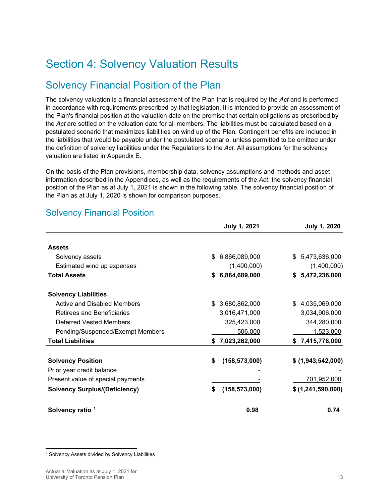# <span id="page-12-0"></span>Section 4: Solvency Valuation Results

## Solvency Financial Position of the Plan

The solvency valuation is a financial assessment of the Plan that is required by the *Act* and is performed in accordance with requirements prescribed by that legislation. It is intended to provide an assessment of the Plan's financial position at the valuation date on the premise that certain obligations as prescribed by the *Act* are settled on the valuation date for all members. The liabilities must be calculated based on a postulated scenario that maximizes liabilities on wind up of the Plan. Contingent benefits are included in the liabilities that would be payable under the postulated scenario, unless permitted to be omitted under the definition of solvency liabilities under the Regulations to the *Act.* All assumptions for the solvency valuation are listed in Appendix E.

On the basis of the Plan provisions, membership data, solvency assumptions and methods and asset information described in the Appendices, as well as the requirements of the *Act*, the solvency financial position of the Plan as at July 1, 2021 is shown in the following table. The solvency financial position of the Plan as at July 1, 2020 is shown for comparison purposes.

|                                      | <b>July 1, 2021</b>   | <b>July 1, 2020</b>  |
|--------------------------------------|-----------------------|----------------------|
| <b>Assets</b>                        |                       |                      |
| Solvency assets                      | 6,866,089,000<br>\$.  | 5,473,636,000<br>\$. |
| Estimated wind up expenses           | (1,400,000)           | (1,400,000)          |
| <b>Total Assets</b>                  | 6,864,689,000<br>S.   | \$5,472,236,000      |
| <b>Solvency Liabilities</b>          |                       |                      |
| Active and Disabled Members          | \$3,680,862,000       | 4,035,069,000        |
| Retirees and Beneficiaries           | 3,016,471,000         | 3,034,906,000        |
| Deferred Vested Members              | 325,423,000           | 344,280,000          |
| Pending/Suspended/Exempt Members     | 506,000               | 1,523,000            |
| <b>Total Liabilities</b>             | \$7,023,262,000       | \$7,415,778,000      |
| <b>Solvency Position</b>             | \$<br>(158, 573, 000) | \$ (1,943,542,000)   |
| Prior year credit balance            |                       |                      |
| Present value of special payments    |                       | 701,952,000          |
| <b>Solvency Surplus/(Deficiency)</b> | (158, 573, 000)<br>\$ | \$(1,241,590,000)    |
| Solvency ratio 1                     | 0.98                  | 0.74                 |

### Solvency Financial Position

<span id="page-12-1"></span><sup>&</sup>lt;sup>1</sup> Solvency Assets divided by Solvency Liabilities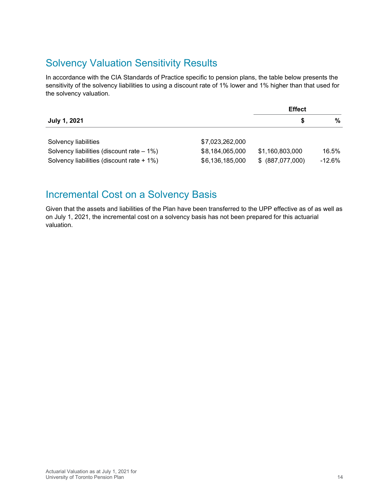## Solvency Valuation Sensitivity Results

In accordance with the CIA Standards of Practice specific to pension plans, the table below presents the sensitivity of the solvency liabilities to using a discount rate of 1% lower and 1% higher than that used for the solvency valuation.

|                                              |                 | <b>Effect</b>    |          |
|----------------------------------------------|-----------------|------------------|----------|
| July 1, 2021                                 |                 | S                | %        |
|                                              |                 |                  |          |
| Solvency liabilities                         | \$7,023,262,000 |                  |          |
| Solvency liabilities (discount rate $-1\%$ ) | \$8,184,065,000 | \$1,160,803,000  | 16.5%    |
| Solvency liabilities (discount rate + 1%)    | \$6,136,185,000 | \$ (887,077,000) | $-12.6%$ |

### Incremental Cost on a Solvency Basis

Given that the assets and liabilities of the Plan have been transferred to the UPP effective as of as well as on July 1, 2021, the incremental cost on a solvency basis has not been prepared for this actuarial valuation.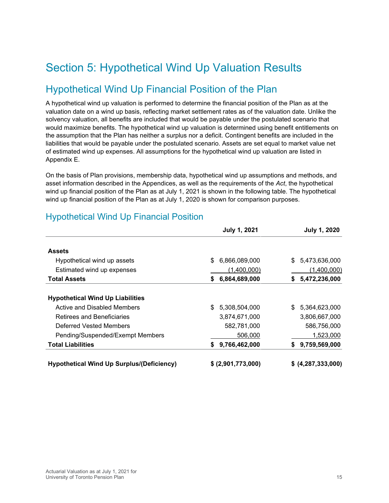# <span id="page-14-0"></span>Section 5: Hypothetical Wind Up Valuation Results

### Hypothetical Wind Up Financial Position of the Plan

A hypothetical wind up valuation is performed to determine the financial position of the Plan as at the valuation date on a wind up basis, reflecting market settlement rates as of the valuation date. Unlike the solvency valuation, all benefits are included that would be payable under the postulated scenario that would maximize benefits. The hypothetical wind up valuation is determined using benefit entitlements on the assumption that the Plan has neither a surplus nor a deficit. Contingent benefits are included in the liabilities that would be payable under the postulated scenario. Assets are set equal to market value net of estimated wind up expenses. All assumptions for the hypothetical wind up valuation are listed in Appendix E.

On the basis of Plan provisions, membership data, hypothetical wind up assumptions and methods, and asset information described in the Appendices, as well as the requirements of the *Act*, the hypothetical wind up financial position of the Plan as at July 1, 2021 is shown in the following table. The hypothetical wind up financial position of the Plan as at July 1, 2020 is shown for comparison purposes.

|                                                  | <b>July 1, 2021</b> | <b>July 1, 2020</b> |
|--------------------------------------------------|---------------------|---------------------|
| <b>Assets</b>                                    |                     |                     |
| Hypothetical wind up assets                      | \$<br>6,866,089,000 | 5,473,636,000<br>\$ |
| Estimated wind up expenses                       | (1,400,000)         | (1,400,000)         |
| <b>Total Assets</b>                              | 6,864,689,000<br>S. | 5,472,236,000<br>\$ |
| <b>Hypothetical Wind Up Liabilities</b>          |                     |                     |
| Active and Disabled Members                      | 5,308,504,000       | 5,364,623,000<br>\$ |
| Retirees and Beneficiaries                       | 3,874,671,000       | 3,806,667,000       |
| Deferred Vested Members                          | 582,781,000         | 586,756,000         |
| Pending/Suspended/Exempt Members                 | 506,000             | 1,523,000           |
| <b>Total Liabilities</b>                         | 9,766,462,000<br>S. | 9,759,569,000<br>S. |
| <b>Hypothetical Wind Up Surplus/(Deficiency)</b> | \$ (2,901,773,000)  | \$ (4,287,333,000)  |

### Hypothetical Wind Up Financial Position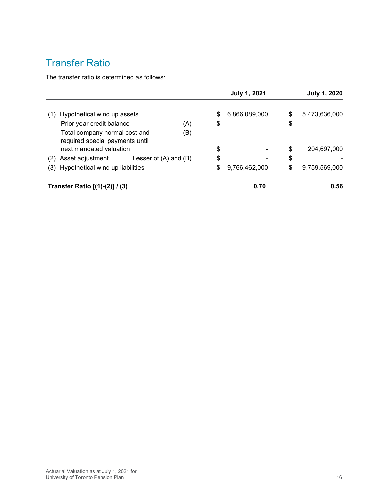## Transfer Ratio

The transfer ratio is determined as follows:

|     |                                                                  |                           | <b>July 1, 2021</b> | <b>July 1, 2020</b> |                     |  |
|-----|------------------------------------------------------------------|---------------------------|---------------------|---------------------|---------------------|--|
| (1) | Hypothetical wind up assets                                      |                           |                     | \$<br>6,866,089,000 | \$<br>5,473,636,000 |  |
|     | Prior year credit balance                                        |                           | (A)                 | \$                  | \$                  |  |
|     | Total company normal cost and<br>required special payments until |                           | (B)                 |                     |                     |  |
|     | next mandated valuation                                          |                           |                     | \$                  | \$<br>204,697,000   |  |
| (2) | Asset adjustment                                                 | Lesser of $(A)$ and $(B)$ |                     | \$                  | \$                  |  |
|     | (3) Hypothetical wind up liabilities                             |                           |                     | \$<br>9,766,462,000 | \$<br>9,759,569,000 |  |
|     | Transfer Ratio [(1)-(2)] / (3)                                   |                           |                     | 0.70                | 0.56                |  |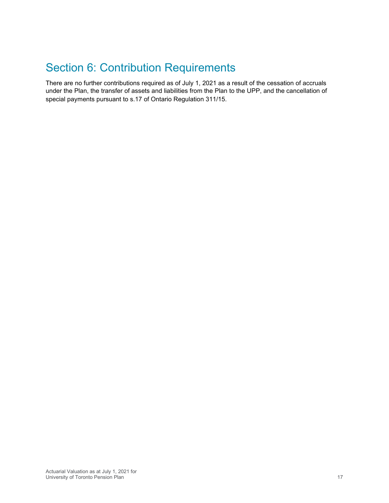# <span id="page-16-0"></span>Section 6: Contribution Requirements

There are no further contributions required as of July 1, 2021 as a result of the cessation of accruals under the Plan, the transfer of assets and liabilities from the Plan to the UPP, and the cancellation of special payments pursuant to s.17 of Ontario Regulation 311/15.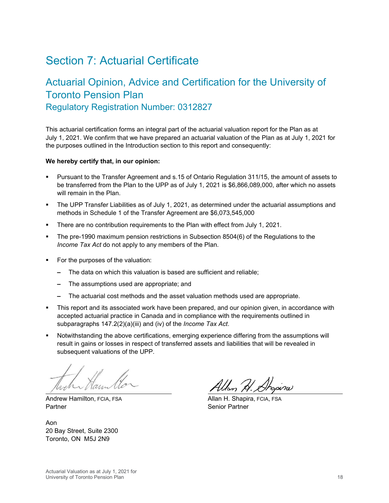## <span id="page-17-0"></span>Section 7: Actuarial Certificate

## Actuarial Opinion, Advice and Certification for the University of Toronto Pension Plan Regulatory Registration Number: 0312827

This actuarial certification forms an integral part of the actuarial valuation report for the Plan as at July 1, 2021. We confirm that we have prepared an actuarial valuation of the Plan as at July 1, 2021 for the purposes outlined in the Introduction section to this report and consequently:

#### **We hereby certify that, in our opinion:**

- Pursuant to the Transfer Agreement and s.15 of Ontario Regulation 311/15, the amount of assets to be transferred from the Plan to the UPP as of July 1, 2021 is \$6,866,089,000, after which no assets will remain in the Plan.
- The UPP Transfer Liabilities as of July 1, 2021, as determined under the actuarial assumptions and methods in Schedule 1 of the Transfer Agreement are \$6,073,545,000
- There are no contribution requirements to the Plan with effect from July 1, 2021.
- The pre-1990 maximum pension restrictions in Subsection 8504(6) of the Regulations to the *Income Tax Act* do not apply to any members of the Plan.
- For the purposes of the valuation:
	- **–** The data on which this valuation is based are sufficient and reliable;
	- **–** The assumptions used are appropriate; and
	- **–** The actuarial cost methods and the asset valuation methods used are appropriate.
- This report and its associated work have been prepared, and our opinion given, in accordance with accepted actuarial practice in Canada and in compliance with the requirements outlined in subparagraphs 147.2(2)(a)(iii) and (iv) of the *Income Tax Act*.
- Notwithstanding the above certifications, emerging experience differing from the assumptions will result in gains or losses in respect of transferred assets and liabilities that will be revealed in subsequent valuations of the UPP.

Andrew Hamilton, FCIA, FSA Allan H. Shapira, FCIA, FSA Partner Senior Partner

Aon 20 Bay Street, Suite 2300 Toronto, ON M5J 2N9

Allan H. Ahopina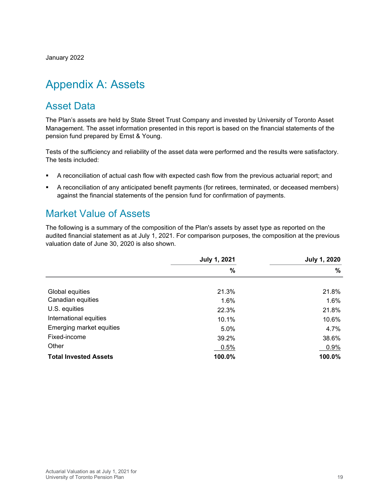January 2022

# <span id="page-18-0"></span>Appendix A: Assets

### Asset Data

The Plan's assets are held by State Street Trust Company and invested by University of Toronto Asset Management. The asset information presented in this report is based on the financial statements of the pension fund prepared by Ernst & Young.

Tests of the sufficiency and reliability of the asset data were performed and the results were satisfactory. The tests included:

- A reconciliation of actual cash flow with expected cash flow from the previous actuarial report; and
- A reconciliation of any anticipated benefit payments (for retirees, terminated, or deceased members) against the financial statements of the pension fund for confirmation of payments.

### Market Value of Assets

The following is a summary of the composition of the Plan's assets by asset type as reported on the audited financial statement as at July 1, 2021. For comparison purposes, the composition at the previous valuation date of June 30, 2020 is also shown.

|                              | <b>July 1, 2021</b> | <b>July 1, 2020</b> |
|------------------------------|---------------------|---------------------|
|                              | %                   | $\%$                |
|                              |                     |                     |
| Global equities              | 21.3%               | 21.8%               |
| Canadian equities            | 1.6%                | 1.6%                |
| U.S. equities                | 22.3%               | 21.8%               |
| International equities       | 10.1%               | 10.6%               |
| Emerging market equities     | 5.0%                | 4.7%                |
| Fixed-income                 | 39.2%               | 38.6%               |
| Other                        | 0.5%                | 0.9%                |
| <b>Total Invested Assets</b> | 100.0%              | 100.0%              |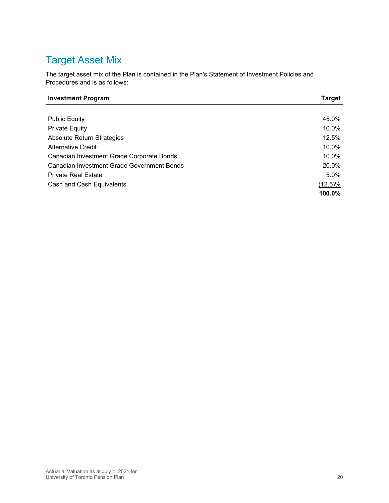## Target Asset Mix

The target asset mix of the Plan is contained in the Plan's Statement of Investment Policies and Procedures and is as follows:

| <b>Investment Program</b>                  | <b>Target</b> |
|--------------------------------------------|---------------|
|                                            |               |
| <b>Public Equity</b>                       | 45.0%         |
| <b>Private Equity</b>                      | 10.0%         |
| <b>Absolute Return Strategies</b>          | 12.5%         |
| <b>Alternative Credit</b>                  | 10.0%         |
| Canadian Investment Grade Corporate Bonds  | 10.0%         |
| Canadian Investment Grade Government Bonds | 20.0%         |
| <b>Private Real Estate</b>                 | 5.0%          |
| Cash and Cash Equivalents                  | $(12.5)\%$    |
|                                            | 100.0%        |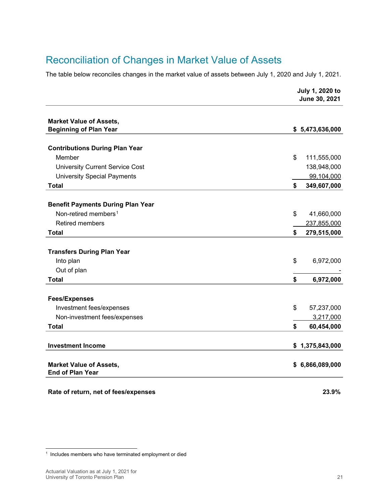## Reconciliation of Changes in Market Value of Assets

The table below reconciles changes in the market value of assets between July 1, 2020 and July 1, 2021.

|                                          | July 1, 2020 to<br>June 30, 2021 |
|------------------------------------------|----------------------------------|
| <b>Market Value of Assets,</b>           |                                  |
| <b>Beginning of Plan Year</b>            | \$5,473,636,000                  |
|                                          |                                  |
| <b>Contributions During Plan Year</b>    |                                  |
| Member                                   | \$<br>111,555,000                |
| <b>University Current Service Cost</b>   | 138,948,000                      |
| <b>University Special Payments</b>       | 99,104,000                       |
| <b>Total</b>                             | 349,607,000<br>\$                |
|                                          |                                  |
| <b>Benefit Payments During Plan Year</b> |                                  |
| Non-retired members <sup>1</sup>         | \$<br>41,660,000                 |
| <b>Retired members</b>                   | 237,855,000                      |
| <b>Total</b>                             | \$<br>279,515,000                |
| <b>Transfers During Plan Year</b>        |                                  |
| Into plan                                | \$<br>6,972,000                  |
| Out of plan                              |                                  |
| <b>Total</b>                             | \$<br>6,972,000                  |
|                                          |                                  |
| <b>Fees/Expenses</b>                     |                                  |
| Investment fees/expenses                 | \$<br>57,237,000                 |
| Non-investment fees/expenses             | 3,217,000                        |
| <b>Total</b>                             | \$<br>60,454,000                 |
| <b>Investment Income</b>                 | \$1,375,843,000                  |
| <b>Market Value of Assets,</b>           | \$6,866,089,000                  |
| <b>End of Plan Year</b>                  |                                  |
|                                          |                                  |

**Rate of return, net of fees/expenses 23.9%**

<span id="page-20-0"></span><sup>1</sup> Includes members who have terminated employment or died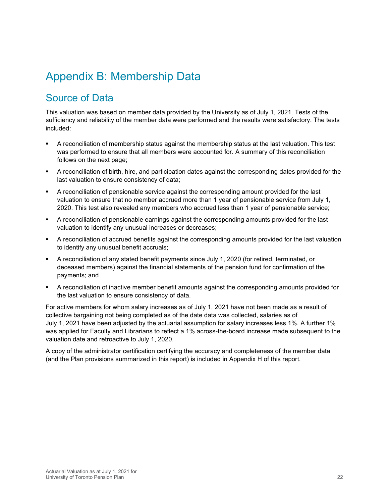# <span id="page-21-0"></span>Appendix B: Membership Data

## Source of Data

This valuation was based on member data provided by the University as of July 1, 2021. Tests of the sufficiency and reliability of the member data were performed and the results were satisfactory. The tests included:

- A reconciliation of membership status against the membership status at the last valuation. This test was performed to ensure that all members were accounted for. A summary of this reconciliation follows on the next page;
- A reconciliation of birth, hire, and participation dates against the corresponding dates provided for the last valuation to ensure consistency of data;
- A reconciliation of pensionable service against the corresponding amount provided for the last valuation to ensure that no member accrued more than 1 year of pensionable service from July 1, 2020. This test also revealed any members who accrued less than 1 year of pensionable service;
- A reconciliation of pensionable earnings against the corresponding amounts provided for the last valuation to identify any unusual increases or decreases;
- A reconciliation of accrued benefits against the corresponding amounts provided for the last valuation to identify any unusual benefit accruals;
- A reconciliation of any stated benefit payments since July 1, 2020 (for retired, terminated, or deceased members) against the financial statements of the pension fund for confirmation of the payments; and
- A reconciliation of inactive member benefit amounts against the corresponding amounts provided for the last valuation to ensure consistency of data.

For active members for whom salary increases as of July 1, 2021 have not been made as a result of collective bargaining not being completed as of the date data was collected, salaries as of July 1, 2021 have been adjusted by the actuarial assumption for salary increases less 1%. A further 1% was applied for Faculty and Librarians to reflect a 1% across-the-board increase made subsequent to the valuation date and retroactive to July 1, 2020.

A copy of the administrator certification certifying the accuracy and completeness of the member data (and the Plan provisions summarized in this report) is included in Appendix H of this report.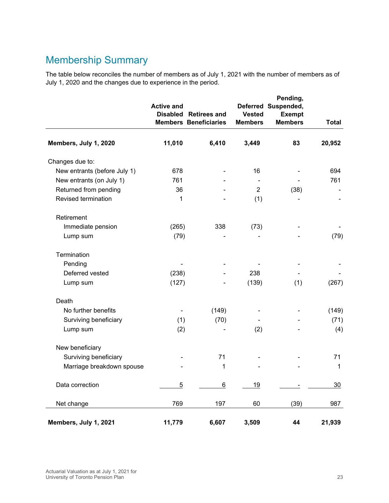## Membership Summary

The table below reconciles the number of members as of July 1, 2021 with the number of members as of July 1, 2020 and the changes due to experience in the period.

|                              | <b>Active and</b> | Disabled Retirees and<br><b>Members Beneficiaries</b> | <b>Vested</b><br><b>Members</b> | Pending,<br>Deferred Suspended,<br><b>Exempt</b><br><b>Members</b> | <b>Total</b> |
|------------------------------|-------------------|-------------------------------------------------------|---------------------------------|--------------------------------------------------------------------|--------------|
| Members, July 1, 2020        | 11,010            | 6,410                                                 | 3,449                           | 83                                                                 | 20,952       |
| Changes due to:              |                   |                                                       |                                 |                                                                    |              |
| New entrants (before July 1) | 678               |                                                       | 16                              |                                                                    | 694          |
| New entrants (on July 1)     | 761               |                                                       |                                 |                                                                    | 761          |
| Returned from pending        | 36                |                                                       | 2                               | (38)                                                               |              |
| Revised termination          | $\mathbf{1}$      |                                                       | (1)                             |                                                                    |              |
| Retirement                   |                   |                                                       |                                 |                                                                    |              |
| Immediate pension            | (265)             | 338                                                   | (73)                            |                                                                    |              |
| Lump sum                     | (79)              |                                                       |                                 |                                                                    | (79)         |
| Termination                  |                   |                                                       |                                 |                                                                    |              |
| Pending                      |                   |                                                       |                                 |                                                                    |              |
| Deferred vested              | (238)             |                                                       | 238                             |                                                                    |              |
| Lump sum                     | (127)             |                                                       | (139)                           | (1)                                                                | (267)        |
| Death                        |                   |                                                       |                                 |                                                                    |              |
| No further benefits          |                   | (149)                                                 |                                 |                                                                    | (149)        |
| Surviving beneficiary        | (1)               | (70)                                                  |                                 |                                                                    | (71)         |
| Lump sum                     | (2)               |                                                       | (2)                             |                                                                    | (4)          |
| New beneficiary              |                   |                                                       |                                 |                                                                    |              |
| Surviving beneficiary        |                   | 71                                                    |                                 |                                                                    | 71           |
| Marriage breakdown spouse    |                   | 1                                                     |                                 |                                                                    | $\mathbf{1}$ |
| Data correction              | $\overline{5}$    | 6                                                     | <u>19</u>                       |                                                                    | 30           |
| Net change                   | 769               | 197                                                   | 60                              | (39)                                                               | 987          |
| Members, July 1, 2021        | 11,779            | 6,607                                                 | 3,509                           | 44                                                                 | 21,939       |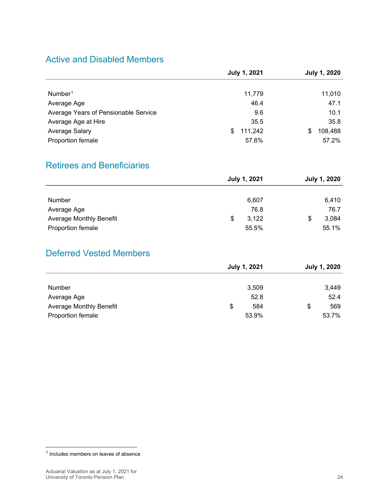### Active and Disabled Members

|                                      | <b>July 1, 2021</b> | <b>July 1, 2020</b> |
|--------------------------------------|---------------------|---------------------|
|                                      |                     |                     |
| Number <sup>1</sup>                  | 11,779              | 11,010              |
| Average Age                          | 46.4                | 47.1                |
| Average Years of Pensionable Service | 9.6                 | 10.1                |
| Average Age at Hire                  | 35.5                | 35.8                |
| Average Salary                       | 111,242<br>S        | 108,488<br>\$       |
| Proportion female                    | 57.6%               | 57.2%               |

### Retirees and Beneficiaries

|                                |   | <b>July 1, 2021</b> | <b>July 1, 2020</b> |
|--------------------------------|---|---------------------|---------------------|
|                                |   |                     |                     |
| Number                         |   | 6,607               | 6,410               |
| Average Age                    |   | 76.8                | 76.7                |
| <b>Average Monthly Benefit</b> | S | 3,122               | \$<br>3,084         |
| Proportion female              |   | 55.5%               | 55.1%               |

### Deferred Vested Members

|                                | <b>July 1, 2021</b> | <b>July 1, 2020</b> |
|--------------------------------|---------------------|---------------------|
|                                |                     |                     |
| Number                         | 3,509               | 3,449               |
| Average Age                    | 52.8                | 52.4                |
| <b>Average Monthly Benefit</b> | \$<br>584           | \$<br>569           |
| Proportion female              | 53.9%               | 53.7%               |

<span id="page-23-0"></span><sup>1</sup> Includes members on leaves of absence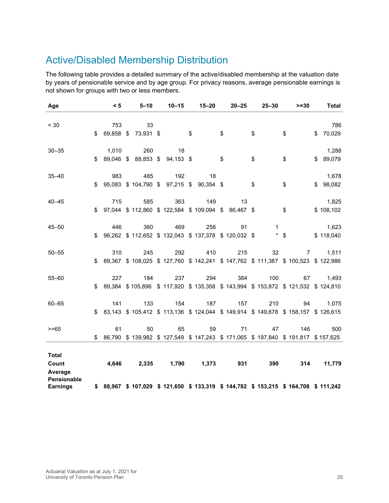## Active/Disabled Membership Distribution

The following table provides a detailed summary of the active/disabled membership at the valuation date by years of pensionable service and by age group. For privacy reasons, average pensionable earnings is not shown for groups with two or less members.

| Age                    | < 5             | $5 - 10$  | $10 - 15$                     | $15 - 20$                                         | $20 - 25$ | $25 - 30$ |        | $>= 30$                                                                                | <b>Total</b> |
|------------------------|-----------------|-----------|-------------------------------|---------------------------------------------------|-----------|-----------|--------|----------------------------------------------------------------------------------------|--------------|
|                        |                 |           |                               |                                                   |           |           |        |                                                                                        |              |
| < 30                   | 753             | 33        |                               |                                                   |           |           |        |                                                                                        | 786          |
|                        | \$<br>69,858 \$ | 73,931 \$ |                               | \$                                                | \$        | \$        | \$     |                                                                                        | \$<br>70,029 |
| $30 - 35$              | 1,010           | 260       | 18                            |                                                   |           |           |        |                                                                                        | 1,288        |
|                        | \$              |           | 89,046 \$ 88,853 \$ 94,153 \$ |                                                   | \$        | \$        | \$     |                                                                                        | \$89,079     |
| $35 - 40$              | 983             | 485       | 192                           | 18                                                |           |           |        |                                                                                        | 1,678        |
|                        | \$              |           |                               | 95,083 \$104,790 \$97,215 \$90,354 \$             |           | \$        | \$     |                                                                                        | \$98,082     |
| $40 - 45$              | 715             | 585       | 363                           | 149                                               | 13        |           |        |                                                                                        | 1,825        |
|                        | \$              |           |                               | 97,044 \$112,860 \$122,584 \$109,094 \$86,467 \$  |           |           | \$     |                                                                                        | \$108,102    |
| $45 - 50$              | 446             | 360       | 469                           | 256                                               | 91        | 1         |        |                                                                                        | 1,623        |
|                        | \$              |           |                               | 96,262 \$112,652 \$132,043 \$137,378 \$120,032 \$ |           |           | $*$ \$ |                                                                                        | \$118,040    |
|                        |                 |           |                               |                                                   |           |           |        |                                                                                        |              |
| $50 - 55$              | 310             | 245       | 292                           | 410                                               | 215       | 32        |        | $\mathbf{7}$                                                                           | 1,511        |
|                        | \$              |           |                               |                                                   |           |           |        | 89,367 \$108,025 \$127,760 \$142,241 \$147,762 \$111,387 \$100,523 \$122,986           |              |
| $55 - 60$              | 227             | 184       | 237                           | 294                                               | 384       | 100       |        | 67                                                                                     | 1,493        |
|                        | \$              |           |                               |                                                   |           |           |        | 89,384 \$105,896 \$117,920 \$135,358 \$143,994 \$153,872 \$121,532 \$124,810           |              |
| $60 - 65$              | 141             | 133       | 154                           | 187                                               | 157       | 210       |        | 94                                                                                     | 1,075        |
|                        | \$              |           |                               |                                                   |           |           |        | 83,143 \$105,412 \$113,136 \$124,044 \$149,914 \$149,678 \$158,157 \$126,615           |              |
| $>= 65$                | 61              | 50        | 65                            | 59                                                | 71        | 47        |        | 146                                                                                    | 500          |
|                        | \$              |           |                               |                                                   |           |           |        | 86,790 \$139,982 \$127,549 \$147,243 \$171,065 \$197,840 \$191,817 \$157,625           |              |
|                        |                 |           |                               |                                                   |           |           |        |                                                                                        |              |
| <b>Total</b>           |                 |           |                               |                                                   |           |           |        |                                                                                        |              |
| Count                  | 4.646           |           |                               | 2,335 1,790 1,373                                 | 931       | 390       |        | 314                                                                                    | 11,779       |
| Average<br>Pensionable |                 |           |                               |                                                   |           |           |        |                                                                                        |              |
| <b>Earnings</b>        |                 |           |                               |                                                   |           |           |        | \$ 88,967 \$ 107,029 \$ 121,650 \$ 133,319 \$ 144,782 \$ 153,215 \$ 164,708 \$ 111,242 |              |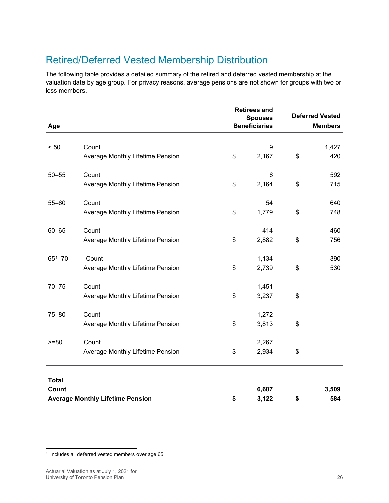## Retired/Deferred Vested Membership Distribution

The following table provides a detailed summary of the retired and deferred vested membership at the valuation date by age group. For privacy reasons, average pensions are not shown for groups with two or less members.

|                       |                                         | <b>Retirees and</b><br><b>Spouses</b> |                      | <b>Deferred Vested</b> |                |
|-----------------------|-----------------------------------------|---------------------------------------|----------------------|------------------------|----------------|
| Age                   |                                         |                                       | <b>Beneficiaries</b> |                        | <b>Members</b> |
|                       |                                         |                                       |                      |                        |                |
| < 50                  | Count                                   |                                       | 9                    |                        | 1,427          |
|                       | Average Monthly Lifetime Pension        | \$                                    | 2,167                | \$                     | 420            |
| $50 - 55$             | Count                                   |                                       | 6                    |                        | 592            |
|                       | Average Monthly Lifetime Pension        | \$                                    | 2,164                | \$                     | 715            |
| $55 - 60$             | Count                                   |                                       | 54                   |                        | 640            |
|                       | Average Monthly Lifetime Pension        | \$                                    | 1,779                | \$                     | 748            |
| $60 - 65$             | Count                                   |                                       | 414                  |                        | 460            |
|                       | Average Monthly Lifetime Pension        | \$                                    | 2,882                | \$                     | 756            |
| $65^{1} - 70$         | Count                                   |                                       | 1,134                |                        | 390            |
|                       | Average Monthly Lifetime Pension        | \$                                    | 2,739                | \$                     | 530            |
| $70 - 75$             | Count                                   |                                       | 1,451                |                        |                |
|                       | Average Monthly Lifetime Pension        | \$                                    | 3,237                | \$                     |                |
| $75 - 80$             | Count                                   |                                       | 1,272                |                        |                |
|                       | Average Monthly Lifetime Pension        | \$                                    | 3,813                | \$                     |                |
| $>= 80$               | Count                                   |                                       | 2,267                |                        |                |
|                       | Average Monthly Lifetime Pension        | \$                                    | 2,934                | \$                     |                |
|                       |                                         |                                       |                      |                        |                |
| <b>Total</b><br>Count |                                         |                                       | 6,607                |                        | 3,509          |
|                       | <b>Average Monthly Lifetime Pension</b> | \$                                    | 3,122                | \$                     | 584            |

<span id="page-25-0"></span> $^1$  Includes all deferred vested members over age  $65$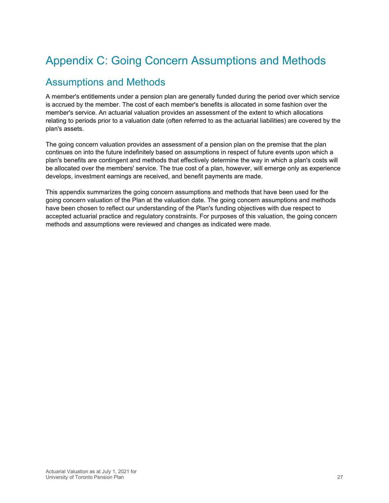# <span id="page-26-0"></span>Appendix C: Going Concern Assumptions and Methods

### Assumptions and Methods

A member's entitlements under a pension plan are generally funded during the period over which service is accrued by the member. The cost of each member's benefits is allocated in some fashion over the member's service. An actuarial valuation provides an assessment of the extent to which allocations relating to periods prior to a valuation date (often referred to as the actuarial liabilities) are covered by the plan's assets.

The going concern valuation provides an assessment of a pension plan on the premise that the plan continues on into the future indefinitely based on assumptions in respect of future events upon which a plan's benefits are contingent and methods that effectively determine the way in which a plan's costs will be allocated over the members' service. The true cost of a plan, however, will emerge only as experience develops, investment earnings are received, and benefit payments are made.

This appendix summarizes the going concern assumptions and methods that have been used for the going concern valuation of the Plan at the valuation date. The going concern assumptions and methods have been chosen to reflect our understanding of the Plan's funding objectives with due respect to accepted actuarial practice and regulatory constraints. For purposes of this valuation, the going concern methods and assumptions were reviewed and changes as indicated were made.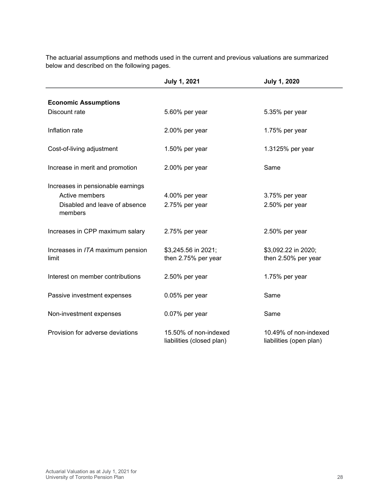| The actuarial assumptions and methods used in the current and previous valuations are summarized |
|--------------------------------------------------------------------------------------------------|
| below and described on the following pages.                                                      |

|                                          | <b>July 1, 2021</b>                                | <b>July 1, 2020</b>                              |
|------------------------------------------|----------------------------------------------------|--------------------------------------------------|
|                                          |                                                    |                                                  |
| <b>Economic Assumptions</b>              |                                                    |                                                  |
| Discount rate                            | 5.60% per year                                     | 5.35% per year                                   |
| Inflation rate                           | 2.00% per year                                     | 1.75% per year                                   |
| Cost-of-living adjustment                | 1.50% per year                                     | 1.3125% per year                                 |
| Increase in merit and promotion          | 2.00% per year                                     | Same                                             |
| Increases in pensionable earnings        |                                                    |                                                  |
| Active members                           | 4.00% per year                                     | 3.75% per year                                   |
| Disabled and leave of absence<br>members | 2.75% per year                                     | 2.50% per year                                   |
| Increases in CPP maximum salary          | 2.75% per year                                     | 2.50% per year                                   |
| Increases in ITA maximum pension         | \$3,245.56 in 2021;                                | \$3,092.22 in 2020;                              |
| limit                                    | then 2.75% per year                                | then 2.50% per year                              |
| Interest on member contributions         | 2.50% per year                                     | 1.75% per year                                   |
|                                          |                                                    |                                                  |
| Passive investment expenses              | 0.05% per year                                     | Same                                             |
| Non-investment expenses                  | 0.07% per year                                     | Same                                             |
| Provision for adverse deviations         | 15.50% of non-indexed<br>liabilities (closed plan) | 10.49% of non-indexed<br>liabilities (open plan) |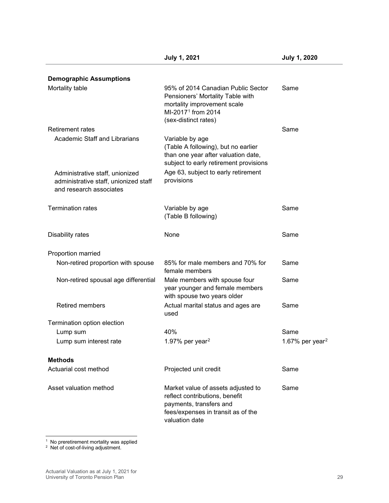| <b>Demographic Assumptions</b>                                                                      |                                                                                                                                                                 |                             |
|-----------------------------------------------------------------------------------------------------|-----------------------------------------------------------------------------------------------------------------------------------------------------------------|-----------------------------|
| Mortality table                                                                                     | 95% of 2014 Canadian Public Sector<br>Pensioners' Mortality Table with<br>mortality improvement scale<br>MI-2017 <sup>1</sup> from 2014<br>(sex-distinct rates) | Same                        |
| <b>Retirement rates</b>                                                                             |                                                                                                                                                                 | Same                        |
| <b>Academic Staff and Librarians</b>                                                                | Variable by age<br>(Table A following), but no earlier<br>than one year after valuation date,<br>subject to early retirement provisions                         |                             |
| Administrative staff, unionized<br>administrative staff, unionized staff<br>and research associates | Age 63, subject to early retirement<br>provisions                                                                                                               |                             |
| <b>Termination rates</b>                                                                            | Variable by age<br>(Table B following)                                                                                                                          | Same                        |
| Disability rates                                                                                    | None                                                                                                                                                            | Same                        |
| Proportion married                                                                                  |                                                                                                                                                                 |                             |
| Non-retired proportion with spouse                                                                  | 85% for male members and 70% for<br>female members                                                                                                              | Same                        |
| Non-retired spousal age differential                                                                | Male members with spouse four<br>year younger and female members<br>with spouse two years older                                                                 | Same                        |
| <b>Retired members</b>                                                                              | Actual marital status and ages are<br>used                                                                                                                      | Same                        |
| Termination option election                                                                         |                                                                                                                                                                 |                             |
| Lump sum                                                                                            | 40%                                                                                                                                                             | Same                        |
| Lump sum interest rate                                                                              | 1.97% per year <sup>2</sup>                                                                                                                                     | 1.67% per year <sup>2</sup> |
| <b>Methods</b>                                                                                      |                                                                                                                                                                 |                             |
| Actuarial cost method                                                                               | Projected unit credit                                                                                                                                           | Same                        |
| Asset valuation method                                                                              | Market value of assets adjusted to<br>reflect contributions, benefit<br>payments, transfers and<br>fees/expenses in transit as of the<br>valuation date         | Same                        |

<span id="page-28-1"></span><span id="page-28-0"></span> $1$  No preretirement mortality was applied

<span id="page-28-2"></span><sup>2</sup> Net of cost-of-living adjustment.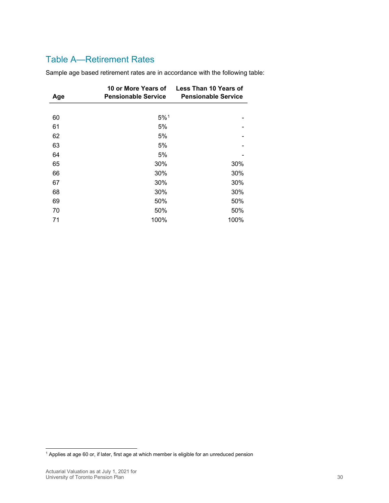### Table A—Retirement Rates

| Age | 10 or More Years of<br><b>Pensionable Service</b> | Less Than 10 Years of<br><b>Pensionable Service</b> |
|-----|---------------------------------------------------|-----------------------------------------------------|
|     |                                                   |                                                     |
| 60  | 5%1                                               |                                                     |
| 61  | 5%                                                |                                                     |
| 62  | 5%                                                |                                                     |
| 63  | 5%                                                |                                                     |
| 64  | 5%                                                |                                                     |
| 65  | 30%                                               | 30%                                                 |
| 66  | 30%                                               | 30%                                                 |
| 67  | 30%                                               | 30%                                                 |
| 68  | 30%                                               | 30%                                                 |
| 69  | 50%                                               | 50%                                                 |
| 70  | 50%                                               | 50%                                                 |
| 71  | 100%                                              | 100%                                                |

Sample age based retirement rates are in accordance with the following table:

<span id="page-29-0"></span><sup>&</sup>lt;sup>1</sup> Applies at age 60 or, if later, first age at which member is eligible for an unreduced pension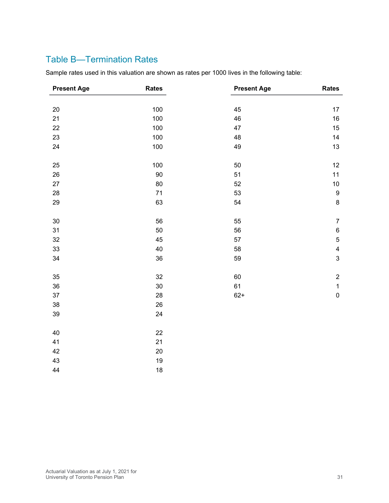### Table B—Termination Rates

Sample rates used in this valuation are shown as rates per 1000 lives in the following table:

| <b>Present Age</b> | <b>Rates</b> | <b>Present Age</b> | <b>Rates</b>            |
|--------------------|--------------|--------------------|-------------------------|
|                    |              |                    |                         |
| 20                 | 100          | 45                 | 17                      |
| 21                 | 100          | 46                 | 16                      |
| 22                 | 100          | 47                 | 15                      |
| 23                 | 100          | 48                 | 14                      |
| 24                 | 100          | 49                 | 13                      |
| 25                 | 100          | 50                 | 12                      |
| 26                 | 90           | 51                 | 11                      |
| 27                 | 80           | 52                 | $10\,$                  |
| 28                 | 71           | 53                 | $\boldsymbol{9}$        |
| 29                 | 63           | 54                 | $\bf 8$                 |
|                    |              |                    |                         |
| 30                 | 56           | 55                 | $\boldsymbol{7}$        |
| 31                 | 50           | 56                 | $\,6$                   |
| 32                 | 45           | 57                 | $\sqrt{5}$              |
| 33                 | 40           | 58                 | $\overline{\mathbf{4}}$ |
| 34                 | 36           | 59                 | $\mathsf 3$             |
| 35                 | 32           | 60                 | $\sqrt{2}$              |
| 36                 | 30           | 61                 | $\mathbf{1}$            |
| 37                 | 28           | $62+$              | $\pmb{0}$               |
| 38                 | 26           |                    |                         |
| 39                 | 24           |                    |                         |
|                    |              |                    |                         |
| 40                 | 22           |                    |                         |
| 41                 | 21           |                    |                         |
| 42                 | 20           |                    |                         |
| 43                 | 19           |                    |                         |
| 44                 | 18           |                    |                         |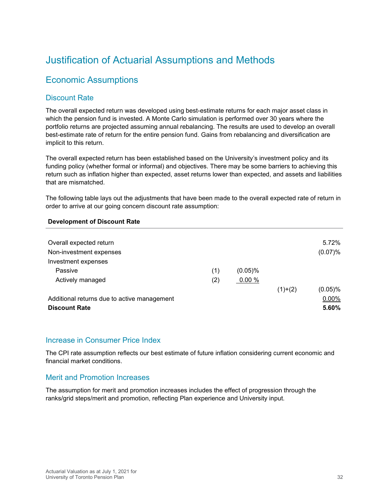## Justification of Actuarial Assumptions and Methods

### Economic Assumptions

#### Discount Rate

The overall expected return was developed using best-estimate returns for each major asset class in which the pension fund is invested. A Monte Carlo simulation is performed over 30 years where the portfolio returns are projected assuming annual rebalancing. The results are used to develop an overall best-estimate rate of return for the entire pension fund. Gains from rebalancing and diversification are implicit to this return.

The overall expected return has been established based on the University's investment policy and its funding policy (whether formal or informal) and objectives. There may be some barriers to achieving this return such as inflation higher than expected, asset returns lower than expected, and assets and liabilities that are mismatched.

The following table lays out the adjustments that have been made to the overall expected rate of return in order to arrive at our going concern discount rate assumption:

#### **Development of Discount Rate**

| Overall expected return                     |     |            |           | 5.72%      |
|---------------------------------------------|-----|------------|-----------|------------|
| Non-investment expenses                     |     |            |           | (0.07)%    |
| Investment expenses                         |     |            |           |            |
| Passive                                     | (1) | $(0.05)$ % |           |            |
| Actively managed                            | (2) | 0.00%      |           |            |
|                                             |     |            | $(1)+(2)$ | $(0.05)\%$ |
| Additional returns due to active management |     |            |           | $0.00\%$   |
| <b>Discount Rate</b>                        |     |            |           | 5.60%      |

#### Increase in Consumer Price Index

The CPI rate assumption reflects our best estimate of future inflation considering current economic and financial market conditions.

#### Merit and Promotion Increases

The assumption for merit and promotion increases includes the effect of progression through the ranks/grid steps/merit and promotion, reflecting Plan experience and University input.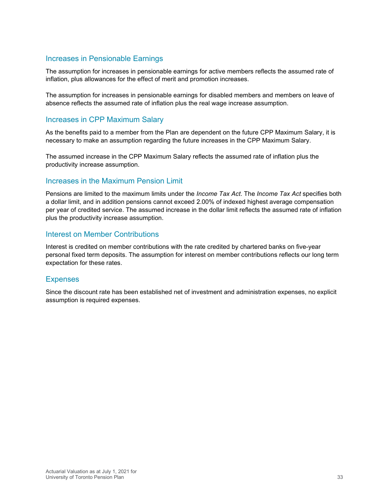#### Increases in Pensionable Earnings

The assumption for increases in pensionable earnings for active members reflects the assumed rate of inflation, plus allowances for the effect of merit and promotion increases.

The assumption for increases in pensionable earnings for disabled members and members on leave of absence reflects the assumed rate of inflation plus the real wage increase assumption.

#### Increases in CPP Maximum Salary

As the benefits paid to a member from the Plan are dependent on the future CPP Maximum Salary, it is necessary to make an assumption regarding the future increases in the CPP Maximum Salary.

The assumed increase in the CPP Maximum Salary reflects the assumed rate of inflation plus the productivity increase assumption.

#### Increases in the Maximum Pension Limit

Pensions are limited to the maximum limits under the *Income Tax Act*. The *Income Tax Act* specifies both a dollar limit, and in addition pensions cannot exceed 2.00% of indexed highest average compensation per year of credited service. The assumed increase in the dollar limit reflects the assumed rate of inflation plus the productivity increase assumption.

#### Interest on Member Contributions

Interest is credited on member contributions with the rate credited by chartered banks on five-year personal fixed term deposits. The assumption for interest on member contributions reflects our long term expectation for these rates.

#### **Expenses**

Since the discount rate has been established net of investment and administration expenses, no explicit assumption is required expenses.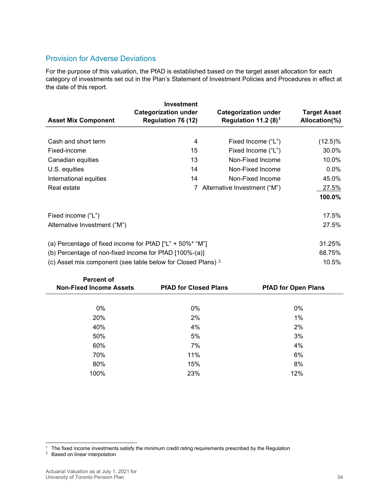#### Provision for Adverse Deviations

For the purpose of this valuation, the PfAD is established based on the target asset allocation for each category of investments set out in the Plan's Statement of Investment Policies and Procedures in effect at the date of this report.

| <b>Asset Mix Component</b>                                              | <b>Investment</b><br><b>Categorization under</b><br><b>Regulation 76 (12)</b> | <b>Categorization under</b><br>Regulation 11.2 $(8)^1$ | <b>Target Asset</b><br>Allocation(%) |
|-------------------------------------------------------------------------|-------------------------------------------------------------------------------|--------------------------------------------------------|--------------------------------------|
|                                                                         |                                                                               |                                                        |                                      |
| Cash and short term                                                     | 4                                                                             | Fixed Income ("L")                                     | $(12.5)\%$                           |
| Fixed-income                                                            | 15                                                                            | Fixed Income ("L")                                     | 30.0%                                |
| Canadian equities                                                       | 13                                                                            | Non-Fixed Income                                       | 10.0%                                |
| U.S. equities                                                           | 14                                                                            | Non-Fixed Income                                       | $0.0\%$                              |
| International equities                                                  | 14                                                                            | Non-Fixed Income                                       | 45.0%                                |
| Real estate                                                             |                                                                               | Alternative Investment ("M")                           | 27.5%                                |
|                                                                         |                                                                               |                                                        | 100.0%                               |
| Fixed income ("L")                                                      |                                                                               |                                                        | 17.5%                                |
| Alternative Investment ("M")                                            |                                                                               |                                                        | 27.5%                                |
| (a) Percentage of fixed income for PfAD $["L" + 50% * "M"]$             | 31.25%                                                                        |                                                        |                                      |
| (b) Percentage of non-fixed income for PfAD [100%-(a)]                  | 68.75%                                                                        |                                                        |                                      |
| (c) Asset mix component (see table below for Closed Plans) <sup>2</sup> |                                                                               |                                                        | 10.5%                                |

|       | <b>PfAD for Open Plans</b>   |
|-------|------------------------------|
|       |                              |
| $0\%$ | $0\%$                        |
| 2%    | 1%                           |
| 4%    | 2%                           |
| 5%    | 3%                           |
| 7%    | 4%                           |
| 11%   | 6%                           |
| 15%   | 8%                           |
| 23%   | 12%                          |
|       | <b>PfAD for Closed Plans</b> |

<span id="page-33-0"></span><sup>&</sup>lt;sup>1</sup> The fixed income investments satisfy the minimum credit rating requirements prescribed by the Regulation

<span id="page-33-1"></span><sup>&</sup>lt;sup>2</sup> Based on linear interpolation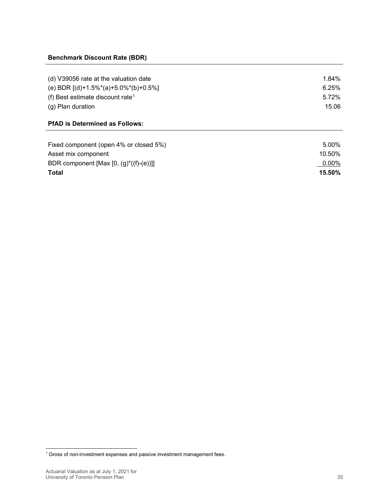#### **Benchmark Discount Rate (BDR)**

| (d) V39056 rate at the valuation date        | 1.84% |
|----------------------------------------------|-------|
| (e) BDR $[(d)+1.5\%*(a)+5.0\%*(b)+0.5\%]$    | 6.25% |
| (f) Best estimate discount rate <sup>1</sup> | 5.72% |
| (g) Plan duration                            | 15.06 |
|                                              |       |

#### **PfAD is Determined as Follows:**

| Fixed component (open 4% or closed 5%)     | 5.00%     |
|--------------------------------------------|-----------|
| Asset mix component                        | 10.50%    |
| BDR component [Max [0, $(g)^*((f)-(e))$ ]] | $0.00\%$  |
| <b>Total</b>                               | $15.50\%$ |

<span id="page-34-0"></span><sup>1</sup> Gross of non-investment expenses and passive investment management fees.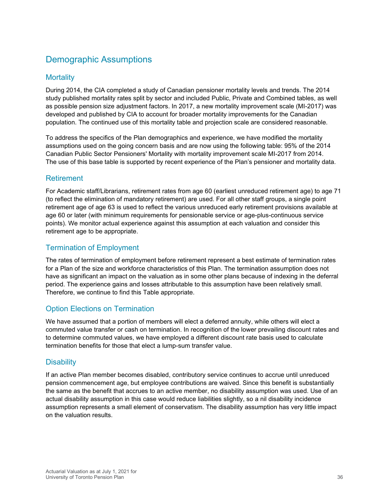### Demographic Assumptions

#### **Mortality**

During 2014, the CIA completed a study of Canadian pensioner mortality levels and trends. The 2014 study published mortality rates split by sector and included Public, Private and Combined tables, as well as possible pension size adjustment factors. In 2017, a new mortality improvement scale (MI-2017) was developed and published by CIA to account for broader mortality improvements for the Canadian population. The continued use of this mortality table and projection scale are considered reasonable.

To address the specifics of the Plan demographics and experience, we have modified the mortality assumptions used on the going concern basis and are now using the following table: 95% of the 2014 Canadian Public Sector Pensioners' Mortality with mortality improvement scale MI-2017 from 2014. The use of this base table is supported by recent experience of the Plan's pensioner and mortality data.

#### Retirement

For Academic staff/Librarians, retirement rates from age 60 (earliest unreduced retirement age) to age 71 (to reflect the elimination of mandatory retirement) are used. For all other staff groups, a single point retirement age of age 63 is used to reflect the various unreduced early retirement provisions available at age 60 or later (with minimum requirements for pensionable service or age-plus-continuous service points). We monitor actual experience against this assumption at each valuation and consider this retirement age to be appropriate.

#### Termination of Employment

The rates of termination of employment before retirement represent a best estimate of termination rates for a Plan of the size and workforce characteristics of this Plan. The termination assumption does not have as significant an impact on the valuation as in some other plans because of indexing in the deferral period. The experience gains and losses attributable to this assumption have been relatively small. Therefore, we continue to find this Table appropriate.

#### Option Elections on Termination

We have assumed that a portion of members will elect a deferred annuity, while others will elect a commuted value transfer or cash on termination. In recognition of the lower prevailing discount rates and to determine commuted values, we have employed a different discount rate basis used to calculate termination benefits for those that elect a lump-sum transfer value.

#### **Disability**

If an active Plan member becomes disabled, contributory service continues to accrue until unreduced pension commencement age, but employee contributions are waived. Since this benefit is substantially the same as the benefit that accrues to an active member, no disability assumption was used. Use of an actual disability assumption in this case would reduce liabilities slightly, so a nil disability incidence assumption represents a small element of conservatism. The disability assumption has very little impact on the valuation results.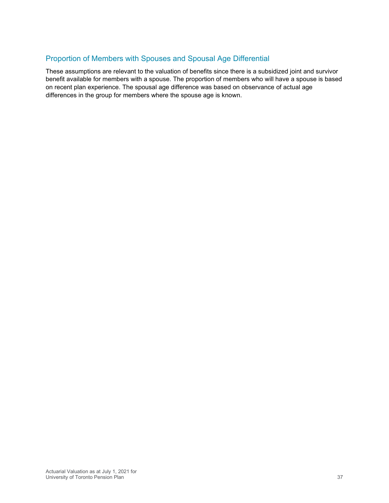#### Proportion of Members with Spouses and Spousal Age Differential

These assumptions are relevant to the valuation of benefits since there is a subsidized joint and survivor benefit available for members with a spouse. The proportion of members who will have a spouse is based on recent plan experience. The spousal age difference was based on observance of actual age differences in the group for members where the spouse age is known.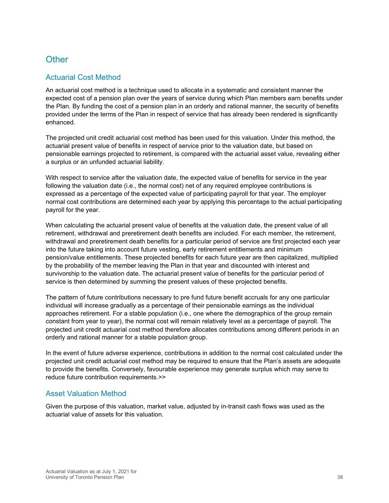### **Other**

#### Actuarial Cost Method

An actuarial cost method is a technique used to allocate in a systematic and consistent manner the expected cost of a pension plan over the years of service during which Plan members earn benefits under the Plan. By funding the cost of a pension plan in an orderly and rational manner, the security of benefits provided under the terms of the Plan in respect of service that has already been rendered is significantly enhanced.

The projected unit credit actuarial cost method has been used for this valuation. Under this method, the actuarial present value of benefits in respect of service prior to the valuation date, but based on pensionable earnings projected to retirement, is compared with the actuarial asset value, revealing either a surplus or an unfunded actuarial liability.

With respect to service after the valuation date, the expected value of benefits for service in the year following the valuation date (i.e., the normal cost) net of any required employee contributions is expressed as a percentage of the expected value of participating payroll for that year. The employer normal cost contributions are determined each year by applying this percentage to the actual participating payroll for the year.

When calculating the actuarial present value of benefits at the valuation date, the present value of all retirement, withdrawal and preretirement death benefits are included. For each member, the retirement, withdrawal and preretirement death benefits for a particular period of service are first projected each year into the future taking into account future vesting, early retirement entitlements and minimum pension/value entitlements. These projected benefits for each future year are then capitalized, multiplied by the probability of the member leaving the Plan in that year and discounted with interest and survivorship to the valuation date. The actuarial present value of benefits for the particular period of service is then determined by summing the present values of these projected benefits.

The pattern of future contributions necessary to pre fund future benefit accruals for any one particular individual will increase gradually as a percentage of their pensionable earnings as the individual approaches retirement. For a stable population (i.e., one where the demographics of the group remain constant from year to year), the normal cost will remain relatively level as a percentage of payroll. The projected unit credit actuarial cost method therefore allocates contributions among different periods in an orderly and rational manner for a stable population group.

In the event of future adverse experience, contributions in addition to the normal cost calculated under the projected unit credit actuarial cost method may be required to ensure that the Plan's assets are adequate to provide the benefits. Conversely, favourable experience may generate surplus which may serve to reduce future contribution requirements.>>

#### Asset Valuation Method

Given the purpose of this valuation, market value, adjusted by in-transit cash flows was used as the actuarial value of assets for this valuation.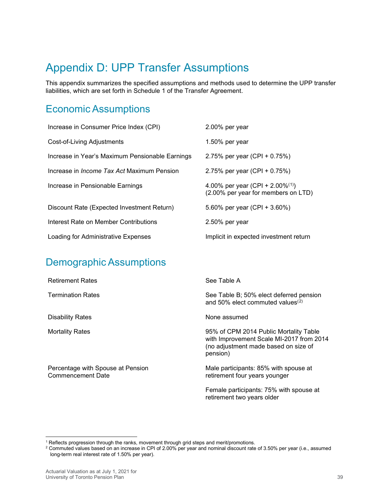# <span id="page-38-0"></span>Appendix D: UPP Transfer Assumptions

This appendix summarizes the specified assumptions and methods used to determine the UPP transfer liabilities, which are set forth in Schedule 1 of the Transfer Agreement.

### Economic Assumptions

| Increase in Consumer Price Index (CPI)            | 2.00% per year                                                                      |
|---------------------------------------------------|-------------------------------------------------------------------------------------|
| Cost-of-Living Adjustments                        | 1.50% per year                                                                      |
| Increase in Year's Maximum Pensionable Earnings   | 2.75% per year $(CPI + 0.75%)$                                                      |
| Increase in <i>Income Tax Act</i> Maximum Pension | 2.75% per year $(CPI + 0.75%)$                                                      |
| Increase in Pensionable Earnings                  | 4.00% per year (CPI + 2.00% <sup>(1)</sup> )<br>(2.00% per year for members on LTD) |
| Discount Rate (Expected Investment Return)        | 5.60% per year (CPI + 3.60%)                                                        |
| Interest Rate on Member Contributions             | 2.50% per year                                                                      |
| Loading for Administrative Expenses               | Implicit in expected investment return                                              |

## Demographic Assumptions

| <b>Retirement Rates</b>                                       | See Table A                                                                                                                            |
|---------------------------------------------------------------|----------------------------------------------------------------------------------------------------------------------------------------|
| <b>Termination Rates</b>                                      | See Table B; 50% elect deferred pension<br>and 50% elect commuted values <sup>(2)</sup>                                                |
| <b>Disability Rates</b>                                       | None assumed                                                                                                                           |
| <b>Mortality Rates</b>                                        | 95% of CPM 2014 Public Mortality Table<br>with Improvement Scale MI-2017 from 2014<br>(no adjustment made based on size of<br>pension) |
| Percentage with Spouse at Pension<br><b>Commencement Date</b> | Male participants: 85% with spouse at<br>retirement four years younger                                                                 |
|                                                               | Female participants: 75% with spouse at<br>retirement two years older                                                                  |

<sup>1</sup> Reflects progression through the ranks, movement through grid steps and merit/promotions.

<span id="page-38-2"></span><span id="page-38-1"></span><sup>2</sup> Commuted values based on an increase in CPI of 2.00% per year and nominal discount rate of 3.50% per year (i.e., assumed long-term real interest rate of 1.50% per year).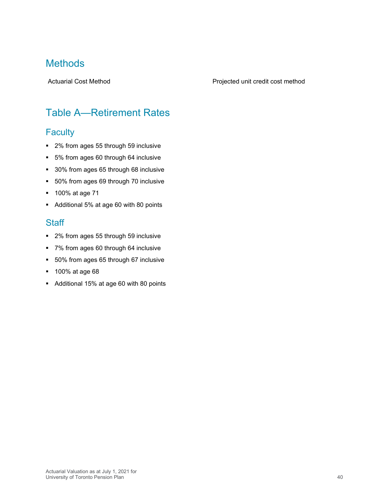### **Methods**

#### Actuarial Cost Method **Projected unit credit cost method** Projected unit credit cost method

## Table A—Retirement Rates

### **Faculty**

- 2% from ages 55 through 59 inclusive
- 5% from ages 60 through 64 inclusive
- **30% from ages 65 through 68 inclusive**
- **50% from ages 69 through 70 inclusive**
- **100% at age 71**
- Additional 5% at age 60 with 80 points

#### **Staff**

- 2% from ages 55 through 59 inclusive
- 7% from ages 60 through 64 inclusive
- 50% from ages 65 through 67 inclusive
- **100% at age 68**
- Additional 15% at age 60 with 80 points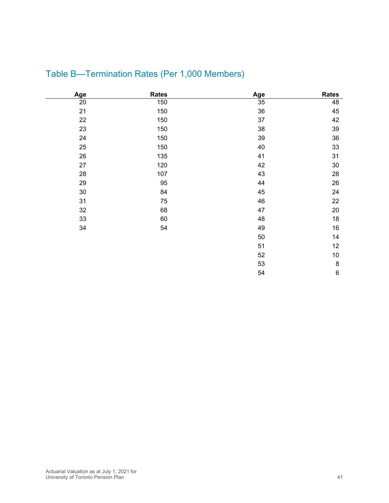| Age    | <b>Rates</b> | Age | <b>Rates</b> |
|--------|--------------|-----|--------------|
| 20     | 150          | 35  | 48           |
| 21     | 150          | 36  | 45           |
| 22     | 150          | 37  | 42           |
| 23     | 150          | 38  | 39           |
| 24     | 150          | 39  | 36           |
| 25     | 150          | 40  | 33           |
| 26     | 135          | 41  | 31           |
| 27     | 120          | 42  | $30\,$       |
| 28     | 107          | 43  | 28           |
| 29     | 95           | 44  | 26           |
| $30\,$ | 84           | 45  | 24           |
| 31     | 75           | 46  | 22           |
| 32     | 68           | 47  | $20\,$       |
| 33     | 60           | 48  | 18           |
| 34     | 54           | 49  | $16\,$       |
|        |              | 50  | 14           |
|        |              | 51  | 12           |
|        |              | 52  | $10$         |
|        |              | 53  | 8            |
|        |              | 54  | $\,6$        |

## Table B—Termination Rates (Per 1,000 Members)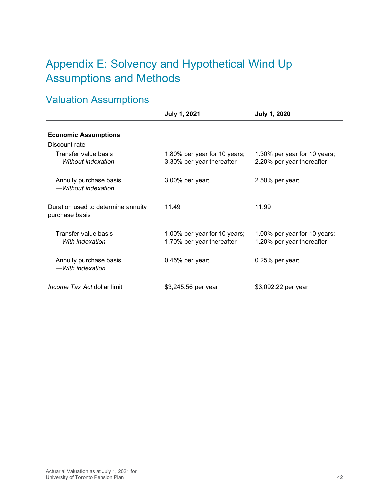# <span id="page-41-0"></span>Appendix E: Solvency and Hypothetical Wind Up Assumptions and Methods

# Valuation Assumptions

|                                                      | <b>July 1, 2021</b>                                       | <b>July 1, 2020</b>                                       |
|------------------------------------------------------|-----------------------------------------------------------|-----------------------------------------------------------|
| <b>Economic Assumptions</b>                          |                                                           |                                                           |
| Discount rate                                        |                                                           |                                                           |
| Transfer value basis<br>-Without indexation          | 1.80% per year for 10 years;<br>3.30% per year thereafter | 1.30% per year for 10 years;<br>2.20% per year thereafter |
| Annuity purchase basis<br>-Without indexation        | 3.00% per year;                                           | 2.50% per year;                                           |
| Duration used to determine annuity<br>purchase basis | 11.49                                                     | 11.99                                                     |
| Transfer value basis<br>—With indexation             | 1.00% per year for 10 years;<br>1.70% per year thereafter | 1.00% per year for 10 years;<br>1.20% per year thereafter |
| Annuity purchase basis<br>-With indexation           | $0.45%$ per year;                                         | $0.25%$ per year;                                         |
| <i>Income Tax Act</i> dollar limit                   | \$3,245.56 per year                                       | \$3,092.22 per year                                       |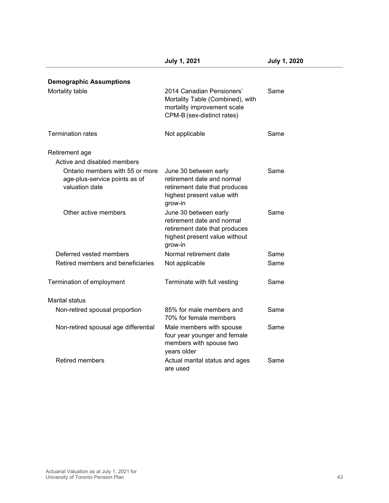|                                                                                    | <b>July 1, 2021</b>                                                                                                              | <b>July 1, 2020</b> |
|------------------------------------------------------------------------------------|----------------------------------------------------------------------------------------------------------------------------------|---------------------|
| <b>Demographic Assumptions</b>                                                     |                                                                                                                                  |                     |
| Mortality table                                                                    | 2014 Canadian Pensioners'<br>Mortality Table (Combined), with<br>mortality improvement scale<br>CPM-B (sex-distinct rates)       | Same                |
| <b>Termination rates</b>                                                           | Not applicable                                                                                                                   | Same                |
| Retirement age                                                                     |                                                                                                                                  |                     |
| Active and disabled members                                                        |                                                                                                                                  |                     |
| Ontario members with 55 or more<br>age-plus-service points as of<br>valuation date | June 30 between early<br>retirement date and normal<br>retirement date that produces<br>highest present value with<br>grow-in    | Same                |
| Other active members                                                               | June 30 between early<br>retirement date and normal<br>retirement date that produces<br>highest present value without<br>grow-in | Same                |
| Deferred vested members                                                            | Normal retirement date                                                                                                           | Same                |
| Retired members and beneficiaries                                                  | Not applicable                                                                                                                   | Same                |
| Termination of employment                                                          | Terminate with full vesting                                                                                                      | Same                |
| Marital status                                                                     |                                                                                                                                  |                     |
| Non-retired spousal proportion                                                     | 85% for male members and<br>70% for female members                                                                               | Same                |
| Non-retired spousal age differential                                               | Male members with spouse<br>four year younger and female<br>members with spouse two<br>years older                               | Same                |
| <b>Retired members</b>                                                             | Actual marital status and ages<br>are used                                                                                       | Same                |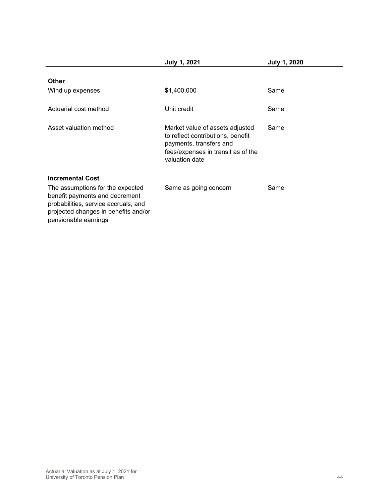|                                                                                                                                                                            | <b>July 1, 2021</b>                                                                                                                                     | <b>July 1, 2020</b> |
|----------------------------------------------------------------------------------------------------------------------------------------------------------------------------|---------------------------------------------------------------------------------------------------------------------------------------------------------|---------------------|
| <b>Other</b>                                                                                                                                                               |                                                                                                                                                         |                     |
| Wind up expenses                                                                                                                                                           | \$1,400,000                                                                                                                                             | Same                |
| Actuarial cost method                                                                                                                                                      | Unit credit                                                                                                                                             | Same                |
| Asset valuation method                                                                                                                                                     | Market value of assets adjusted<br>to reflect contributions, benefit<br>payments, transfers and<br>fees/expenses in transit as of the<br>valuation date | Same                |
| <b>Incremental Cost</b>                                                                                                                                                    |                                                                                                                                                         |                     |
| The assumptions for the expected<br>benefit payments and decrement<br>probabilities, service accruals, and<br>projected changes in benefits and/or<br>pensionable earnings | Same as going concern                                                                                                                                   | Same                |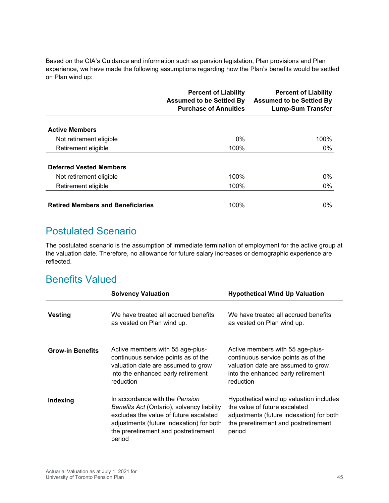Based on the CIA's Guidance and information such as pension legislation, Plan provisions and Plan experience, we have made the following assumptions regarding how the Plan's benefits would be settled on Plan wind up:

|                                          | <b>Percent of Liability</b><br><b>Assumed to be Settled By</b><br><b>Purchase of Annuities</b> | <b>Percent of Liability</b><br><b>Assumed to be Settled By</b><br><b>Lump-Sum Transfer</b> |
|------------------------------------------|------------------------------------------------------------------------------------------------|--------------------------------------------------------------------------------------------|
| <b>Active Members</b>                    |                                                                                                |                                                                                            |
| Not retirement eligible                  | $0\%$                                                                                          | 100%                                                                                       |
| Retirement eligible                      | 100%                                                                                           | $0\%$                                                                                      |
| <b>Deferred Vested Members</b>           |                                                                                                |                                                                                            |
| Not retirement eligible                  | 100%                                                                                           | $0\%$                                                                                      |
| Retirement eligible                      | 100%                                                                                           | $0\%$                                                                                      |
| <b>Retired Members and Beneficiaries</b> | 100%                                                                                           | 0%                                                                                         |

### Postulated Scenario

The postulated scenario is the assumption of immediate termination of employment for the active group at the valuation date. Therefore, no allowance for future salary increases or demographic experience are reflected.

### Benefits Valued

|                         | <b>Solvency Valuation</b>                                                                                                                                                                                            | <b>Hypothetical Wind Up Valuation</b>                                                                                                                                  |
|-------------------------|----------------------------------------------------------------------------------------------------------------------------------------------------------------------------------------------------------------------|------------------------------------------------------------------------------------------------------------------------------------------------------------------------|
| <b>Vesting</b>          | We have treated all accrued benefits<br>as vested on Plan wind up.                                                                                                                                                   | We have treated all accrued benefits<br>as vested on Plan wind up.                                                                                                     |
| <b>Grow-in Benefits</b> | Active members with 55 age-plus-<br>continuous service points as of the<br>valuation date are assumed to grow<br>into the enhanced early retirement<br>reduction                                                     | Active members with 55 age-plus-<br>continuous service points as of the<br>valuation date are assumed to grow<br>into the enhanced early retirement<br>reduction       |
| Indexing                | In accordance with the Pension<br>Benefits Act (Ontario), solvency liability<br>excludes the value of future escalated<br>adjustments (future indexation) for both<br>the preretirement and postretirement<br>period | Hypothetical wind up valuation includes<br>the value of future escalated<br>adjustments (future indexation) for both<br>the preretirement and postretirement<br>period |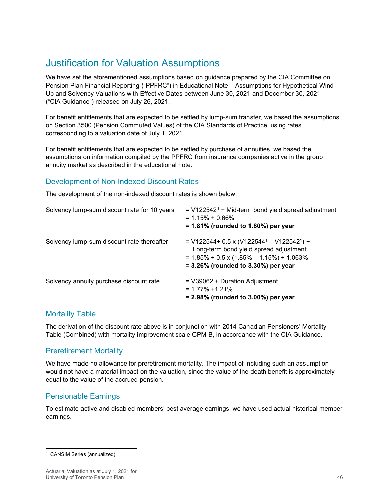## Justification for Valuation Assumptions

We have set the aforementioned assumptions based on guidance prepared by the CIA Committee on Pension Plan Financial Reporting ("PPFRC") in Educational Note – Assumptions for Hypothetical Wind-Up and Solvency Valuations with Effective Dates between June 30, 2021 and December 30, 2021 ("CIA Guidance") released on July 26, 2021.

For benefit entitlements that are expected to be settled by lump-sum transfer, we based the assumptions on Section 3500 (Pension Commuted Values) of the CIA Standards of Practice, using rates corresponding to a valuation date of July 1, 2021.

For benefit entitlements that are expected to be settled by purchase of annuities, we based the assumptions on information compiled by the PPFRC from insurance companies active in the group annuity market as described in the educational note.

#### Development of Non-Indexed Discount Rates

The development of the non-indexed discount rates is shown below.

| Solvency lump-sum discount rate for 10 years | $=$ V122542 <sup>1</sup> + Mid-term bond yield spread adjustment<br>$= 1.15\% + 0.66\%$<br>$= 1.81\%$ (rounded to 1.80%) per year                                                         |
|----------------------------------------------|-------------------------------------------------------------------------------------------------------------------------------------------------------------------------------------------|
| Solvency lump-sum discount rate thereafter   | = $V122544 + 0.5 \times (V122544 - V122542) +$<br>Long-term bond yield spread adjustment<br>$= 1.85\% + 0.5 \times (1.85\% - 1.15\%) + 1.063\%$<br>$= 3.26\%$ (rounded to 3.30%) per year |
| Solvency annuity purchase discount rate      | $=$ V39062 + Duration Adjustment<br>$= 1.77\% + 1.21\%$<br>$= 2.98\%$ (rounded to 3.00%) per year                                                                                         |

#### Mortality Table

The derivation of the discount rate above is in conjunction with 2014 Canadian Pensioners' Mortality Table (Combined) with mortality improvement scale CPM-B, in accordance with the CIA Guidance.

#### Preretirement Mortality

We have made no allowance for preretirement mortality. The impact of including such an assumption would not have a material impact on the valuation, since the value of the death benefit is approximately equal to the value of the accrued pension.

#### Pensionable Earnings

To estimate active and disabled members' best average earnings, we have used actual historical member earnings.

<span id="page-45-0"></span><sup>1</sup> CANSIM Series (annualized)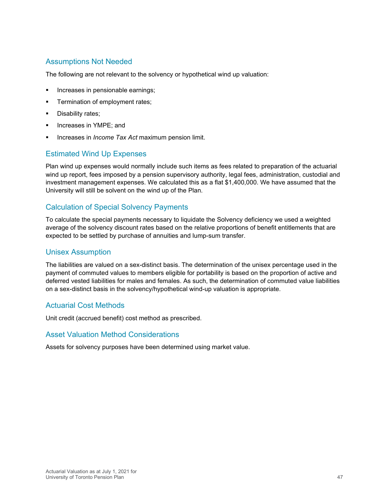#### Assumptions Not Needed

The following are not relevant to the solvency or hypothetical wind up valuation:

- Increases in pensionable earnings;
- **Termination of employment rates;**
- **Disability rates;**
- **Increases in YMPE; and**
- Increases in *Income Tax Act* maximum pension limit.

#### Estimated Wind Up Expenses

Plan wind up expenses would normally include such items as fees related to preparation of the actuarial wind up report, fees imposed by a pension supervisory authority, legal fees, administration, custodial and investment management expenses. We calculated this as a flat \$1,400,000. We have assumed that the University will still be solvent on the wind up of the Plan.

#### Calculation of Special Solvency Payments

To calculate the special payments necessary to liquidate the Solvency deficiency we used a weighted average of the solvency discount rates based on the relative proportions of benefit entitlements that are expected to be settled by purchase of annuities and lump-sum transfer.

#### Unisex Assumption

The liabilities are valued on a sex-distinct basis. The determination of the unisex percentage used in the payment of commuted values to members eligible for portability is based on the proportion of active and deferred vested liabilities for males and females. As such, the determination of commuted value liabilities on a sex-distinct basis in the solvency/hypothetical wind-up valuation is appropriate.

#### Actuarial Cost Methods

Unit credit (accrued benefit) cost method as prescribed.

#### Asset Valuation Method Considerations

Assets for solvency purposes have been determined using market value.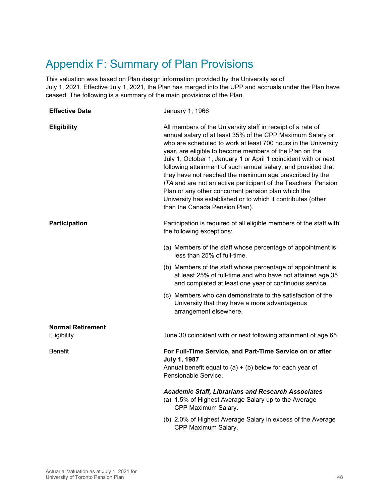# <span id="page-47-0"></span>Appendix F: Summary of Plan Provisions

This valuation was based on Plan design information provided by the University as of July 1, 2021. Effective July 1, 2021, the Plan has merged into the UPP and accruals under the Plan have ceased. The following is a summary of the main provisions of the Plan.

| <b>Effective Date</b>    | January 1, 1966                                                                                                                                                                                                                                                                                                                                                                                                                                                                                                                                                                                                                                                                  |
|--------------------------|----------------------------------------------------------------------------------------------------------------------------------------------------------------------------------------------------------------------------------------------------------------------------------------------------------------------------------------------------------------------------------------------------------------------------------------------------------------------------------------------------------------------------------------------------------------------------------------------------------------------------------------------------------------------------------|
| <b>Eligibility</b>       | All members of the University staff in receipt of a rate of<br>annual salary of at least 35% of the CPP Maximum Salary or<br>who are scheduled to work at least 700 hours in the University<br>year, are eligible to become members of the Plan on the<br>July 1, October 1, January 1 or April 1 coincident with or next<br>following attainment of such annual salary, and provided that<br>they have not reached the maximum age prescribed by the<br>ITA and are not an active participant of the Teachers' Pension<br>Plan or any other concurrent pension plan which the<br>University has established or to which it contributes (other<br>than the Canada Pension Plan). |
| Participation            | Participation is required of all eligible members of the staff with<br>the following exceptions:                                                                                                                                                                                                                                                                                                                                                                                                                                                                                                                                                                                 |
|                          | (a) Members of the staff whose percentage of appointment is<br>less than 25% of full-time.                                                                                                                                                                                                                                                                                                                                                                                                                                                                                                                                                                                       |
|                          | (b) Members of the staff whose percentage of appointment is<br>at least 25% of full-time and who have not attained age 35<br>and completed at least one year of continuous service.                                                                                                                                                                                                                                                                                                                                                                                                                                                                                              |
|                          | (c) Members who can demonstrate to the satisfaction of the<br>University that they have a more advantageous<br>arrangement elsewhere.                                                                                                                                                                                                                                                                                                                                                                                                                                                                                                                                            |
| <b>Normal Retirement</b> |                                                                                                                                                                                                                                                                                                                                                                                                                                                                                                                                                                                                                                                                                  |
| Eligibility              | June 30 coincident with or next following attainment of age 65.                                                                                                                                                                                                                                                                                                                                                                                                                                                                                                                                                                                                                  |
| <b>Benefit</b>           | For Full-Time Service, and Part-Time Service on or after<br><b>July 1, 1987</b><br>Annual benefit equal to $(a) + (b)$ below for each year of<br>Pensionable Service.                                                                                                                                                                                                                                                                                                                                                                                                                                                                                                            |
|                          | <b>Academic Staff, Librarians and Research Associates</b><br>(a) 1.5% of Highest Average Salary up to the Average<br>CPP Maximum Salary.                                                                                                                                                                                                                                                                                                                                                                                                                                                                                                                                         |
|                          | (b) 2.0% of Highest Average Salary in excess of the Average<br>CPP Maximum Salary.                                                                                                                                                                                                                                                                                                                                                                                                                                                                                                                                                                                               |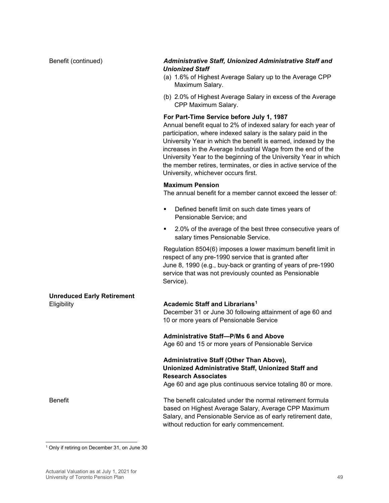#### Benefit (continued) *Administrative Staff, Unionized Administrative Staff and Unionized Staff*

- (a) 1.6% of Highest Average Salary up to the Average CPP Maximum Salary.
- (b) 2.0% of Highest Average Salary in excess of the Average CPP Maximum Salary.

#### **For Part-Time Service before July 1, 1987**

Annual benefit equal to 2% of indexed salary for each year of participation, where indexed salary is the salary paid in the University Year in which the benefit is earned, indexed by the increases in the Average Industrial Wage from the end of the University Year to the beginning of the University Year in which the member retires, terminates, or dies in active service of the University, whichever occurs first.

#### **Maximum Pension**

The annual benefit for a member cannot exceed the lesser of:

- **•** Defined benefit limit on such date times years of Pensionable Service; and
- 2.0% of the average of the best three consecutive years of salary times Pensionable Service.

Regulation 8504(6) imposes a lower maximum benefit limit in respect of any pre-1990 service that is granted after June 8, 1990 (e.g., buy-back or granting of years of pre-1990 service that was not previously counted as Pensionable Service).

| <b>Unreduced Early Retirement</b> |                                                              |
|-----------------------------------|--------------------------------------------------------------|
| Eligibility                       | Academic Staff and Librarians <sup>1</sup>                   |
|                                   | December 31 or June 30 following attainment of age 60 and    |
|                                   | 10 or more years of Pensionable Service                      |
|                                   | <b>Administrative Staff-P/Ms 6 and Above</b>                 |
|                                   | Age 60 and 15 or more years of Pensionable Service           |
|                                   | <b>Administrative Staff (Other Than Above),</b>              |
|                                   | Unionized Administrative Staff, Unionized Staff and          |
|                                   | <b>Research Associates</b>                                   |
|                                   | Age 60 and age plus continuous service totaling 80 or more.  |
| Benefit                           | The benefit calculated under the normal retirement formula   |
|                                   | based on Highest Average Salary, Average CPP Maximum         |
|                                   | Salary, and Pensionable Service as of early retirement date, |
|                                   | without reduction for early commencement.                    |

<span id="page-48-0"></span><sup>1</sup> Only if retiring on December 31, on June 30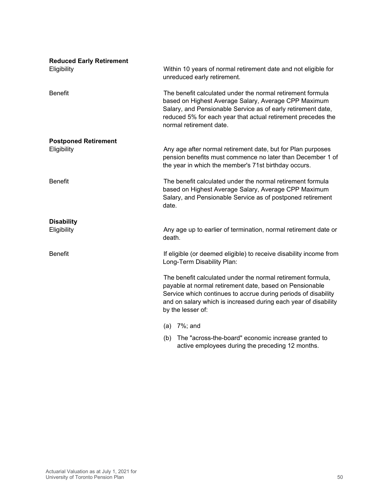| <b>Reduced Early Retirement</b><br>Eligibility | Within 10 years of normal retirement date and not eligible for<br>unreduced early retirement.                                                                                                                                                                                    |
|------------------------------------------------|----------------------------------------------------------------------------------------------------------------------------------------------------------------------------------------------------------------------------------------------------------------------------------|
| <b>Benefit</b>                                 | The benefit calculated under the normal retirement formula<br>based on Highest Average Salary, Average CPP Maximum<br>Salary, and Pensionable Service as of early retirement date,<br>reduced 5% for each year that actual retirement precedes the<br>normal retirement date.    |
| <b>Postponed Retirement</b>                    |                                                                                                                                                                                                                                                                                  |
| Eligibility                                    | Any age after normal retirement date, but for Plan purposes<br>pension benefits must commence no later than December 1 of<br>the year in which the member's 71st birthday occurs.                                                                                                |
| <b>Benefit</b>                                 | The benefit calculated under the normal retirement formula<br>based on Highest Average Salary, Average CPP Maximum<br>Salary, and Pensionable Service as of postponed retirement<br>date.                                                                                        |
| <b>Disability</b>                              |                                                                                                                                                                                                                                                                                  |
| Eligibility                                    | Any age up to earlier of termination, normal retirement date or<br>death.                                                                                                                                                                                                        |
| <b>Benefit</b>                                 | If eligible (or deemed eligible) to receive disability income from<br>Long-Term Disability Plan:                                                                                                                                                                                 |
|                                                | The benefit calculated under the normal retirement formula,<br>payable at normal retirement date, based on Pensionable<br>Service which continues to accrue during periods of disability<br>and on salary which is increased during each year of disability<br>by the lesser of: |
|                                                | (a) $7\%$ ; and                                                                                                                                                                                                                                                                  |
|                                                | (b) The "across-the-board" economic increase granted to<br>active employees during the preceding 12 months.                                                                                                                                                                      |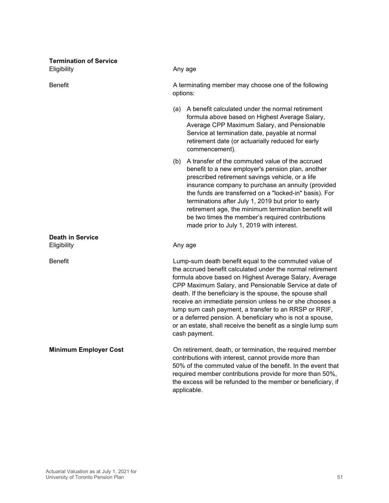| <b>Termination of Service</b><br>Eligibility | Any age                                                                                                                                                                                                                                                                                                                                                                                                                                                                                                                                                                |
|----------------------------------------------|------------------------------------------------------------------------------------------------------------------------------------------------------------------------------------------------------------------------------------------------------------------------------------------------------------------------------------------------------------------------------------------------------------------------------------------------------------------------------------------------------------------------------------------------------------------------|
| <b>Benefit</b>                               | A terminating member may choose one of the following<br>options:                                                                                                                                                                                                                                                                                                                                                                                                                                                                                                       |
|                                              | (a) A benefit calculated under the normal retirement<br>formula above based on Highest Average Salary,<br>Average CPP Maximum Salary, and Pensionable<br>Service at termination date, payable at normal<br>retirement date (or actuarially reduced for early<br>commencement).                                                                                                                                                                                                                                                                                         |
|                                              | A transfer of the commuted value of the accrued<br>(b)<br>benefit to a new employer's pension plan, another<br>prescribed retirement savings vehicle, or a life<br>insurance company to purchase an annuity (provided<br>the funds are transferred on a "locked-in" basis). For<br>terminations after July 1, 2019 but prior to early<br>retirement age, the minimum termination benefit will<br>be two times the member's required contributions<br>made prior to July 1, 2019 with interest.                                                                         |
| <b>Death in Service</b><br>Eligibility       | Any age                                                                                                                                                                                                                                                                                                                                                                                                                                                                                                                                                                |
| <b>Benefit</b>                               | Lump-sum death benefit equal to the commuted value of<br>the accrued benefit calculated under the normal retirement<br>formula above based on Highest Average Salary, Average<br>CPP Maximum Salary, and Pensionable Service at date of<br>death. If the beneficiary is the spouse, the spouse shall<br>receive an immediate pension unless he or she chooses a<br>lump sum cash payment, a transfer to an RRSP or RRIF,<br>or a deferred pension. A beneficiary who is not a spouse,<br>or an estate, shall receive the benefit as a single lump sum<br>cash payment. |
| <b>Minimum Employer Cost</b>                 | On retirement, death, or termination, the required member<br>contributions with interest, cannot provide more than<br>50% of the commuted value of the benefit. In the event that<br>required member contributions provide for more than 50%,<br>the excess will be refunded to the member or beneficiary, if<br>applicable.                                                                                                                                                                                                                                           |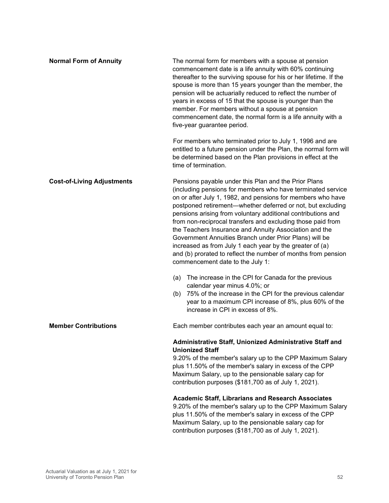| <b>Normal Form of Annuity</b>     | The normal form for members with a spouse at pension<br>commencement date is a life annuity with 60% continuing<br>thereafter to the surviving spouse for his or her lifetime. If the<br>spouse is more than 15 years younger than the member, the<br>pension will be actuarially reduced to reflect the number of<br>years in excess of 15 that the spouse is younger than the<br>member. For members without a spouse at pension<br>commencement date, the normal form is a life annuity with a<br>five-year guarantee period.<br>For members who terminated prior to July 1, 1996 and are<br>entitled to a future pension under the Plan, the normal form will<br>be determined based on the Plan provisions in effect at the<br>time of termination. |
|-----------------------------------|----------------------------------------------------------------------------------------------------------------------------------------------------------------------------------------------------------------------------------------------------------------------------------------------------------------------------------------------------------------------------------------------------------------------------------------------------------------------------------------------------------------------------------------------------------------------------------------------------------------------------------------------------------------------------------------------------------------------------------------------------------|
| <b>Cost-of-Living Adjustments</b> | Pensions payable under this Plan and the Prior Plans<br>(including pensions for members who have terminated service<br>on or after July 1, 1982, and pensions for members who have<br>postponed retirement—whether deferred or not, but excluding<br>pensions arising from voluntary additional contributions and<br>from non-reciprocal transfers and excluding those paid from<br>the Teachers Insurance and Annuity Association and the<br>Government Annuities Branch under Prior Plans) will be<br>increased as from July 1 each year by the greater of (a)<br>and (b) prorated to reflect the number of months from pension<br>commencement date to the July 1:                                                                                    |
|                                   | (a) The increase in the CPI for Canada for the previous<br>calendar year minus 4.0%; or<br>75% of the increase in the CPI for the previous calendar<br>(b)<br>year to a maximum CPI increase of 8%, plus 60% of the<br>increase in CPI in excess of 8%.                                                                                                                                                                                                                                                                                                                                                                                                                                                                                                  |
| <b>Member Contributions</b>       | Each member contributes each year an amount equal to:                                                                                                                                                                                                                                                                                                                                                                                                                                                                                                                                                                                                                                                                                                    |
|                                   | Administrative Staff, Unionized Administrative Staff and<br><b>Unionized Staff</b><br>9.20% of the member's salary up to the CPP Maximum Salary<br>plus 11.50% of the member's salary in excess of the CPP<br>Maximum Salary, up to the pensionable salary cap for<br>contribution purposes (\$181,700 as of July 1, 2021).<br><b>Academic Staff, Librarians and Research Associates</b><br>9.20% of the member's salary up to the CPP Maximum Salary<br>plus 11.50% of the member's salary in excess of the CPP<br>Maximum Salary, up to the pensionable salary cap for<br>contribution purposes (\$181,700 as of July 1, 2021).                                                                                                                        |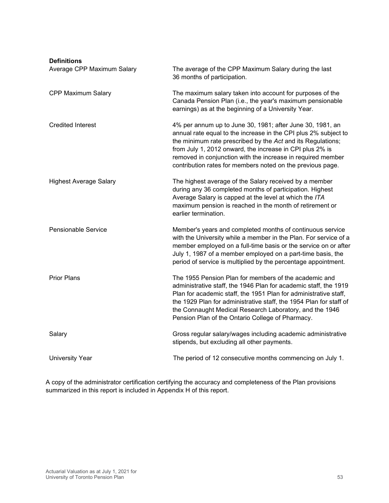| <b>Definitions</b> |  |
|--------------------|--|
|                    |  |

| Deliniuons<br>Average CPP Maximum Salary | The average of the CPP Maximum Salary during the last<br>36 months of participation.                                                                                                                                                                                                                                                                                                 |
|------------------------------------------|--------------------------------------------------------------------------------------------------------------------------------------------------------------------------------------------------------------------------------------------------------------------------------------------------------------------------------------------------------------------------------------|
| <b>CPP Maximum Salary</b>                | The maximum salary taken into account for purposes of the<br>Canada Pension Plan (i.e., the year's maximum pensionable<br>earnings) as at the beginning of a University Year.                                                                                                                                                                                                        |
| <b>Credited Interest</b>                 | 4% per annum up to June 30, 1981; after June 30, 1981, an<br>annual rate equal to the increase in the CPI plus 2% subject to<br>the minimum rate prescribed by the Act and its Regulations;<br>from July 1, 2012 onward, the increase in CPI plus 2% is<br>removed in conjunction with the increase in required member<br>contribution rates for members noted on the previous page. |
| <b>Highest Average Salary</b>            | The highest average of the Salary received by a member<br>during any 36 completed months of participation. Highest<br>Average Salary is capped at the level at which the ITA<br>maximum pension is reached in the month of retirement or<br>earlier termination.                                                                                                                     |
| <b>Pensionable Service</b>               | Member's years and completed months of continuous service<br>with the University while a member in the Plan. For service of a<br>member employed on a full-time basis or the service on or after<br>July 1, 1987 of a member employed on a part-time basis, the<br>period of service is multiplied by the percentage appointment.                                                    |
| <b>Prior Plans</b>                       | The 1955 Pension Plan for members of the academic and<br>administrative staff, the 1946 Plan for academic staff, the 1919<br>Plan for academic staff, the 1951 Plan for administrative staff,<br>the 1929 Plan for administrative staff, the 1954 Plan for staff of<br>the Connaught Medical Research Laboratory, and the 1946<br>Pension Plan of the Ontario College of Pharmacy.   |
| Salary                                   | Gross regular salary/wages including academic administrative<br>stipends, but excluding all other payments.                                                                                                                                                                                                                                                                          |
| <b>University Year</b>                   | The period of 12 consecutive months commencing on July 1.                                                                                                                                                                                                                                                                                                                            |

A copy of the administrator certification certifying the accuracy and completeness of the Plan provisions summarized in this report is included in Appendix H of this report.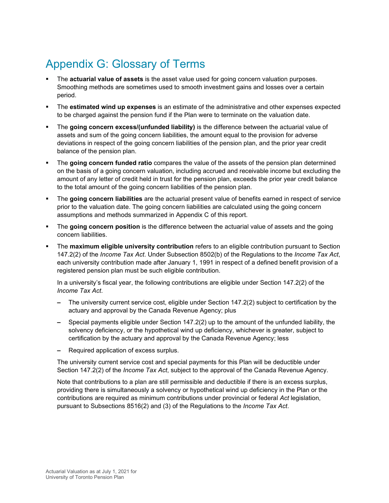# <span id="page-53-0"></span>Appendix G: Glossary of Terms

- The **actuarial value of assets** is the asset value used for going concern valuation purposes. Smoothing methods are sometimes used to smooth investment gains and losses over a certain period.
- The **estimated wind up expenses** is an estimate of the administrative and other expenses expected to be charged against the pension fund if the Plan were to terminate on the valuation date.
- The **going concern excess/(unfunded liability)** is the difference between the actuarial value of assets and sum of the going concern liabilities, the amount equal to the provision for adverse deviations in respect of the going concern liabilities of the pension plan, and the prior year credit balance of the pension plan.
- The **going concern funded ratio** compares the value of the assets of the pension plan determined on the basis of a going concern valuation, including accrued and receivable income but excluding the amount of any letter of credit held in trust for the pension plan, exceeds the prior year credit balance to the total amount of the going concern liabilities of the pension plan.
- The **going concern liabilities** are the actuarial present value of benefits earned in respect of service prior to the valuation date. The going concern liabilities are calculated using the going concern assumptions and methods summarized in Appendix C of this report.
- The **going concern position** is the difference between the actuarial value of assets and the going concern liabilities.
- The **maximum eligible university contribution** refers to an eligible contribution pursuant to Section 147.2(2) of the *Income Tax Act*. Under Subsection 8502(b) of the Regulations to the *Income Tax Act*, each university contribution made after January 1, 1991 in respect of a defined benefit provision of a registered pension plan must be such eligible contribution.

In a university's fiscal year, the following contributions are eligible under Section 147.2(2) of the *Income Tax Act*.

- **–** The university current service cost, eligible under Section 147.2(2) subject to certification by the actuary and approval by the Canada Revenue Agency; plus
- **–** Special payments eligible under Section 147.2(2) up to the amount of the unfunded liability, the solvency deficiency, or the hypothetical wind up deficiency, whichever is greater, subject to certification by the actuary and approval by the Canada Revenue Agency; less
- **–** Required application of excess surplus.

The university current service cost and special payments for this Plan will be deductible under Section 147.2(2) of the *Income Tax Act*, subject to the approval of the Canada Revenue Agency.

Note that contributions to a plan are still permissible and deductible if there is an excess surplus, providing there is simultaneously a solvency or hypothetical wind up deficiency in the Plan or the contributions are required as minimum contributions under provincial or federal *Act* legislation, pursuant to Subsections 8516(2) and (3) of the Regulations to the *Income Tax Act*.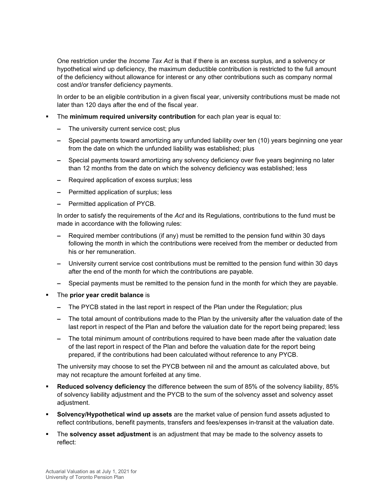One restriction under the *Income Tax Act* is that if there is an excess surplus, and a solvency or hypothetical wind up deficiency, the maximum deductible contribution is restricted to the full amount of the deficiency without allowance for interest or any other contributions such as company normal cost and/or transfer deficiency payments.

In order to be an eligible contribution in a given fiscal year, university contributions must be made not later than 120 days after the end of the fiscal year.

- The **minimum required university contribution** for each plan year is equal to:
	- **–** The university current service cost; plus
	- **–** Special payments toward amortizing any unfunded liability over ten (10) years beginning one year from the date on which the unfunded liability was established; plus
	- **–** Special payments toward amortizing any solvency deficiency over five years beginning no later than 12 months from the date on which the solvency deficiency was established; less
	- **–** Required application of excess surplus; less
	- **–** Permitted application of surplus; less
	- **–** Permitted application of PYCB.

In order to satisfy the requirements of the *Act* and its Regulations, contributions to the fund must be made in accordance with the following rules:

- **–** Required member contributions (if any) must be remitted to the pension fund within 30 days following the month in which the contributions were received from the member or deducted from his or her remuneration.
- **–** University current service cost contributions must be remitted to the pension fund within 30 days after the end of the month for which the contributions are payable.
- **–** Special payments must be remitted to the pension fund in the month for which they are payable.
- The **prior year credit balance** is
	- **–** The PYCB stated in the last report in respect of the Plan under the Regulation; plus
	- **–** The total amount of contributions made to the Plan by the university after the valuation date of the last report in respect of the Plan and before the valuation date for the report being prepared; less
	- **–** The total minimum amount of contributions required to have been made after the valuation date of the last report in respect of the Plan and before the valuation date for the report being prepared, if the contributions had been calculated without reference to any PYCB.

The university may choose to set the PYCB between nil and the amount as calculated above, but may not recapture the amount forfeited at any time.

- **Reduced solvency deficiency** the difference between the sum of 85% of the solvency liability, 85% of solvency liability adjustment and the PYCB to the sum of the solvency asset and solvency asset adiustment.
- **Solvency/Hypothetical wind up assets** are the market value of pension fund assets adjusted to reflect contributions, benefit payments, transfers and fees/expenses in-transit at the valuation date.
- The **solvency asset adjustment** is an adjustment that may be made to the solvency assets to reflect: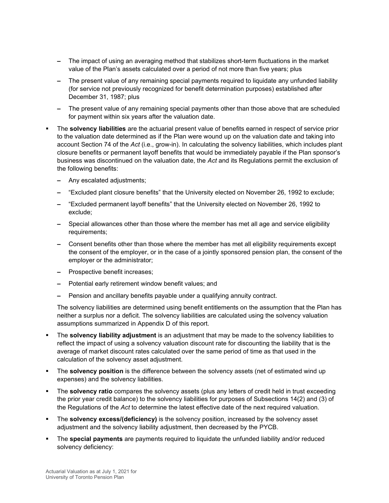- **–** The impact of using an averaging method that stabilizes short-term fluctuations in the market value of the Plan's assets calculated over a period of not more than five years; plus
- **–** The present value of any remaining special payments required to liquidate any unfunded liability (for service not previously recognized for benefit determination purposes) established after December 31, 1987; plus
- **–** The present value of any remaining special payments other than those above that are scheduled for payment within six years after the valuation date.
- The **solvency liabilities** are the actuarial present value of benefits earned in respect of service prior to the valuation date determined as if the Plan were wound up on the valuation date and taking into account Section 74 of the *Act* (i.e., grow-in). In calculating the solvency liabilities, which includes plant closure benefits or permanent layoff benefits that would be immediately payable if the Plan sponsor's business was discontinued on the valuation date, the *Act* and its Regulations permit the exclusion of the following benefits:
	- **–** Any escalated adjustments;
	- **–** "Excluded plant closure benefits" that the University elected on November 26, 1992 to exclude;
	- **–** "Excluded permanent layoff benefits" that the University elected on November 26, 1992 to exclude;
	- **–** Special allowances other than those where the member has met all age and service eligibility requirements;
	- **–** Consent benefits other than those where the member has met all eligibility requirements except the consent of the employer, or in the case of a jointly sponsored pension plan, the consent of the employer or the administrator;
	- **–** Prospective benefit increases;
	- **–** Potential early retirement window benefit values; and
	- **–** Pension and ancillary benefits payable under a qualifying annuity contract.

The solvency liabilities are determined using benefit entitlements on the assumption that the Plan has neither a surplus nor a deficit. The solvency liabilities are calculated using the solvency valuation assumptions summarized in Appendix D of this report.

- The **solvency liability adjustment** is an adjustment that may be made to the solvency liabilities to reflect the impact of using a solvency valuation discount rate for discounting the liability that is the average of market discount rates calculated over the same period of time as that used in the calculation of the solvency asset adjustment.
- The **solvency position** is the difference between the solvency assets (net of estimated wind up expenses) and the solvency liabilities.
- The **solvency ratio** compares the solvency assets (plus any letters of credit held in trust exceeding the prior year credit balance) to the solvency liabilities for purposes of Subsections 14(2) and (3) of the Regulations of the *Act* to determine the latest effective date of the next required valuation.
- The **solvency excess/(deficiency)** is the solvency position, increased by the solvency asset adjustment and the solvency liability adjustment, then decreased by the PYCB.
- The **special payments** are payments required to liquidate the unfunded liability and/or reduced solvency deficiency: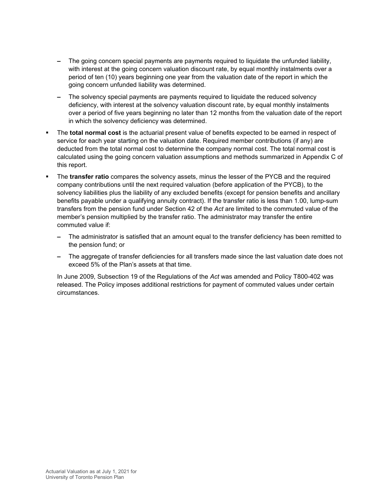- **–** The going concern special payments are payments required to liquidate the unfunded liability, with interest at the going concern valuation discount rate, by equal monthly instalments over a period of ten (10) years beginning one year from the valuation date of the report in which the going concern unfunded liability was determined.
- **–** The solvency special payments are payments required to liquidate the reduced solvency deficiency, with interest at the solvency valuation discount rate, by equal monthly instalments over a period of five years beginning no later than 12 months from the valuation date of the report in which the solvency deficiency was determined.
- The **total normal cost** is the actuarial present value of benefits expected to be earned in respect of service for each year starting on the valuation date. Required member contributions (if any) are deducted from the total normal cost to determine the company normal cost. The total normal cost is calculated using the going concern valuation assumptions and methods summarized in Appendix C of this report.
- The **transfer ratio** compares the solvency assets, minus the lesser of the PYCB and the required company contributions until the next required valuation (before application of the PYCB), to the solvency liabilities plus the liability of any excluded benefits (except for pension benefits and ancillary benefits payable under a qualifying annuity contract). If the transfer ratio is less than 1.00, lump-sum transfers from the pension fund under Section 42 of the *Act* are limited to the commuted value of the member's pension multiplied by the transfer ratio. The administrator may transfer the entire commuted value if:
	- **–** The administrator is satisfied that an amount equal to the transfer deficiency has been remitted to the pension fund; or
	- **–** The aggregate of transfer deficiencies for all transfers made since the last valuation date does not exceed 5% of the Plan's assets at that time.

In June 2009, Subsection 19 of the Regulations of the *Act* was amended and Policy T800-402 was released. The Policy imposes additional restrictions for payment of commuted values under certain circumstances.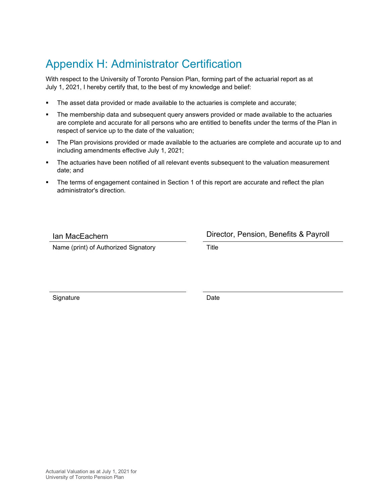# <span id="page-57-0"></span>Appendix H: Administrator Certification

With respect to the University of Toronto Pension Plan, forming part of the actuarial report as at July 1, 2021, I hereby certify that, to the best of my knowledge and belief:

- The asset data provided or made available to the actuaries is complete and accurate;
- The membership data and subsequent query answers provided or made available to the actuaries are complete and accurate for all persons who are entitled to benefits under the terms of the Plan in respect of service up to the date of the valuation;
- The Plan provisions provided or made available to the actuaries are complete and accurate up to and including amendments effective July 1, 2021;
- **The actuaries have been notified of all relevant events subsequent to the valuation measurement** date; and
- The terms of engagement contained in Section 1 of this report are accurate and reflect the plan administrator's direction.

Ian MacEachern Director, Pension, Benefits & Payroll

Name (print) of Authorized Signatory Title

Signature Date